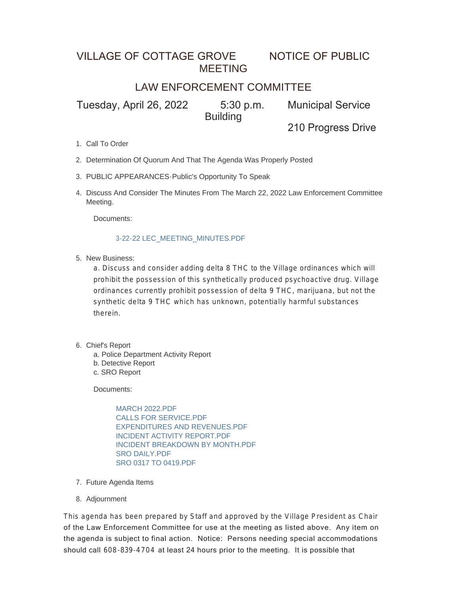### VILLAGE OF COTTAGE GROVE NOTICE OF PUBLIC MEETING

### LAW ENFORCEMENT COMMITTEE

Tuesday, April 26, 2022 5:30 p.m. Municipal Service **Building** 

210 Progress Drive

- 1. Call To Order
- 2. Determination Of Quorum And That The Agenda Was Properly Posted
- PUBLIC APPEARANCES-Public's Opportunity To Speak 3.
- 4. Discuss And Consider The Minutes From The March 22, 2022 Law Enforcement Committee Meeting.

Documents:

#### 3-22-22 LEC\_MEETING\_MINUTES.PDF

5. New Business:

a. Discuss and consider adding delta 8 THC to the Village ordinances which will prohibit the possession of this synthetically produced psychoactive drug. Village ordinances currently prohibit possession of delta 9 THC, marijuana, but not the synthetic delta 9 THC which has unknown, potentially harmful substances therein.

- 6. Chief's Report
	- a. Police Department Activity Report
	- b. Detective Report
	- c. SRO Report

Documents:

MARCH 2022.PDF CALLS FOR SERVICE.PDF EXPENDITURES AND REVENUES.PDF INCIDENT ACTIVITY REPORT.PDF INCIDENT BREAKDOWN BY MONTH.PDF SRO DAILY.PDF SRO 0317 TO 0419.PDF

- 7. Future Agenda Items
- 8. Adjournment

This agenda has been prepared by Staff and approved by the Village President as Chair of the Law Enforcement Committee for use at the meeting as listed above. Any item on the agenda is subject to final action. Notice: Persons needing special accommodations should call 608-839-4704 at least 24 hours prior to the meeting. It is possible that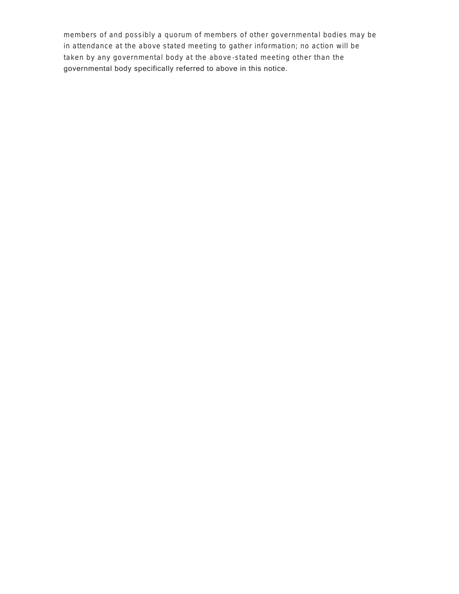members of and possibly a quorum of members of other governmental bodies may be in attendance at the above stated meeting to gather information; no action will be taken by any governmental body at the above -stated meeting other than the governmental body specifically referred to above in this notice.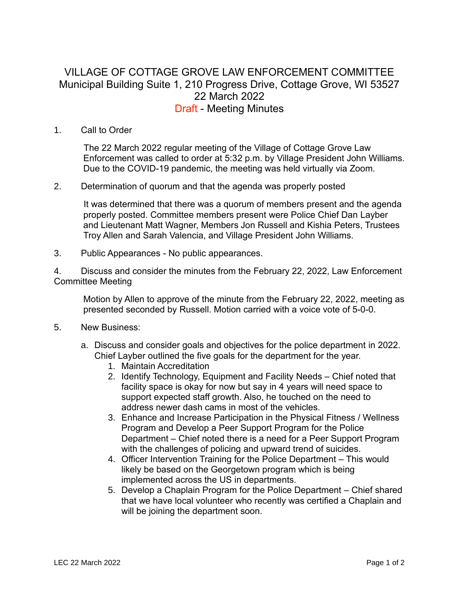### VILLAGE OF COTTAGE GROVE LAW ENFORCEMENT COMMITTEE Municipal Building Suite 1, 210 Progress Drive, Cottage Grove, WI 53527 22 March 2022 Draft - Meeting Minutes

#### 1. Call to Order

The 22 March 2022 regular meeting of the Village of Cottage Grove Law Enforcement was called to order at 5:32 p.m. by Village President John Williams. Due to the COVID-19 pandemic, the meeting was held virtually via Zoom.

2. Determination of quorum and that the agenda was properly posted

It was determined that there was a quorum of members present and the agenda properly posted. Committee members present were Police Chief Dan Layber and Lieutenant Matt Wagner, Members Jon Russell and Kishia Peters, Trustees Troy Allen and Sarah Valencia, and Village President John Williams.

3. Public Appearances - No public appearances.

4. Discuss and consider the minutes from the February 22, 2022, Law Enforcement Committee Meeting

Motion by Allen to approve of the minute from the February 22, 2022, meeting as presented seconded by Russell. Motion carried with a voice vote of 5-0-0.

- 5. New Business:
	- a. Discuss and consider goals and objectives for the police department in 2022. Chief Layber outlined the five goals for the department for the year.
		- 1. Maintain Accreditation
		- 2. Identify Technology, Equipment and Facility Needs Chief noted that facility space is okay for now but say in 4 years will need space to support expected staff growth. Also, he touched on the need to address newer dash cams in most of the vehicles.
		- 3. Enhance and Increase Participation in the Physical Fitness / Wellness Program and Develop a Peer Support Program for the Police Department – Chief noted there is a need for a Peer Support Program with the challenges of policing and upward trend of suicides.
		- 4. Officer Intervention Training for the Police Department This would likely be based on the Georgetown program which is being implemented across the US in departments.
		- 5. Develop a Chaplain Program for the Police Department Chief shared that we have local volunteer who recently was certified a Chaplain and will be joining the department soon.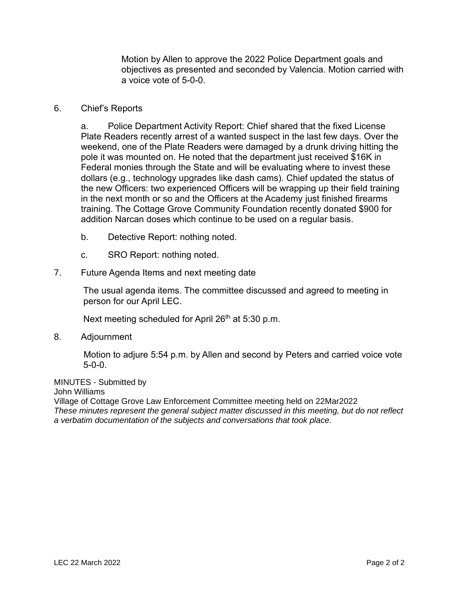Motion by Allen to approve the 2022 Police Department goals and objectives as presented and seconded by Valencia. Motion carried with a voice vote of 5-0-0.

#### 6. Chief's Reports

a. Police Department Activity Report: Chief shared that the fixed License Plate Readers recently arrest of a wanted suspect in the last few days. Over the weekend, one of the Plate Readers were damaged by a drunk driving hitting the pole it was mounted on. He noted that the department just received \$16K in Federal monies through the State and will be evaluating where to invest these dollars (e.g., technology upgrades like dash cams). Chief updated the status of the new Officers: two experienced Officers will be wrapping up their field training in the next month or so and the Officers at the Academy just finished firearms training. The Cottage Grove Community Foundation recently donated \$900 for addition Narcan doses which continue to be used on a regular basis.

- b. Detective Report: nothing noted.
- c. SRO Report: nothing noted.
- 7. Future Agenda Items and next meeting date

The usual agenda items. The committee discussed and agreed to meeting in person for our April LEC.

Next meeting scheduled for April 26<sup>th</sup> at 5:30 p.m.

8. Adjournment

Motion to adjure 5:54 p.m. by Allen and second by Peters and carried voice vote  $5 - 0 - 0$ 

MINUTES - Submitted by

John Williams

Village of Cottage Grove Law Enforcement Committee meeting held on 22Mar2022 *These minutes represent the general subject matter discussed in this meeting, but do not reflect a verbatim documentation of the subjects and conversations that took place.*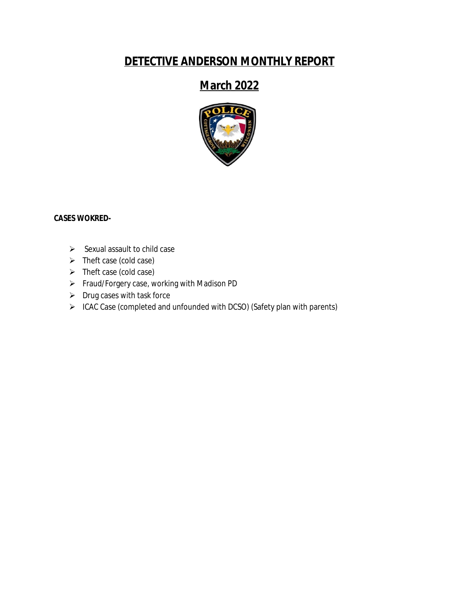### **DETECTIVE ANDERSON MONTHLY REPORT**

## **March 2022**



#### **CASES WOKRED-**

- $\triangleright$  Sexual assault to child case
- $\triangleright$  Theft case (cold case)
- $\triangleright$  Theft case (cold case)
- Fraud/Forgery case, working with Madison PD
- $\triangleright$  Drug cases with task force
- ICAC Case (completed and unfounded with DCSO) (Safety plan with parents)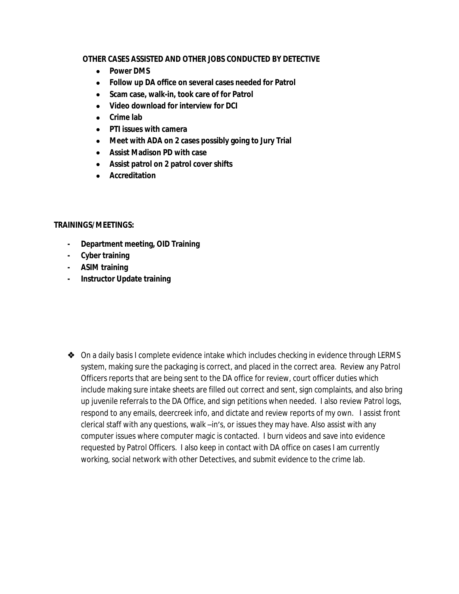#### **OTHER CASES ASSISTED AND OTHER JOBS CONDUCTED BY DETECTIVE**

- **•** Power DMS
- **Follow up DA office on several cases needed for Patrol**
- **Scam case, walk-in, took care of for Patrol**
- **Video download for interview for DCI**
- **Crime lab**
- **PTI issues with camera**
- **Meet with ADA on 2 cases possibly going to Jury Trial**
- **Assist Madison PD with case**
- **Assist patrol on 2 patrol cover shifts**
- **Accreditation**

#### **TRAININGS/MEETINGS:**

- **- Department meeting, OID Training**
- **- Cyber training**
- **- ASIM training**
- **- Instructor Update training**

◆ On a daily basis I complete evidence intake which includes checking in evidence through LERMS system, making sure the packaging is correct, and placed in the correct area. Review any Patrol Officers reports that are being sent to the DA office for review, court officer duties which include making sure intake sheets are filled out correct and sent, sign complaints, and also bring up juvenile referrals to the DA Office, and sign petitions when needed. I also review Patrol logs, respond to any emails, deercreek info, and dictate and review reports of my own. I assist front clerical staff with any questions, walk –in's, or issues they may have. Also assist with any computer issues where computer magic is contacted. I burn videos and save into evidence requested by Patrol Officers. I also keep in contact with DA office on cases I am currently working, social network with other Detectives, and submit evidence to the crime lab.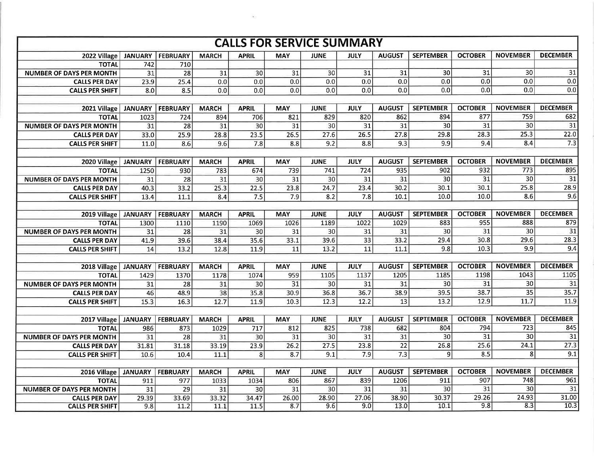|                                 |                   |                 |                 |              | <b>CALLS FOR SERVICE SUMMARY</b> |                 |                  |                 |                  |                 |                 |                 |
|---------------------------------|-------------------|-----------------|-----------------|--------------|----------------------------------|-----------------|------------------|-----------------|------------------|-----------------|-----------------|-----------------|
| 2022 Village                    | <b>JANUARY</b>    | <b>FEBRUARY</b> | <b>MARCH</b>    | <b>APRIL</b> | <b>MAY</b>                       | <b>JUNE</b>     | JULY             | <b>AUGUST</b>   | <b>SEPTEMBER</b> | <b>OCTOBER</b>  | <b>NOVEMBER</b> | <b>DECEMBER</b> |
| <b>TOTAL</b>                    | 742               | 710             |                 |              |                                  |                 |                  |                 |                  |                 |                 |                 |
| <b>NUMBER OF DAYS PER MONTH</b> | $\overline{31}$   | $\overline{28}$ | $\overline{31}$ | 30           | $\overline{31}$                  | 30              | 31               | 31              | $\overline{30}$  | $\overline{31}$ | 30              | 31              |
| <b>CALLS PER DAY</b>            | 23.9              | 25.4            | 0.0             | 0.0          | 0.0                              | 0.0             | 0.0              | 0.0             | 0.0              | 0.0             | 0.0             | 0.0             |
| <b>CALLS PER SHIFT</b>          | 8.0               | 8.5             | 0.0             | 0.0          | $\overline{0.0}$                 | 0.0             | 0.0              | 0.0             | 0.0              | 0.0             | 0.0             | 0.0             |
|                                 |                   |                 |                 |              |                                  |                 |                  |                 |                  |                 |                 |                 |
| 2021 Village                    | <b>JANUARY</b>    | <b>FEBRUARY</b> | <b>MARCH</b>    | <b>APRIL</b> | <b>MAY</b>                       | <b>JUNE</b>     | <b>JULY</b>      | <b>AUGUST</b>   | <b>SEPTEMBER</b> | <b>OCTOBER</b>  | <b>NOVEMBER</b> | <b>DECEMBER</b> |
| <b>TOTAL</b>                    | 1023              | 724             | 894             | 706          | 821                              | 829             | 820              | 862             | 894              | 877             | 759             | 682             |
| <b>NUMBER OF DAYS PER MONTH</b> | $\overline{31}$   | 28              | $\overline{31}$ | 30           | 31                               | 30              | $\overline{31}$  | $\overline{31}$ | 30               | 31              | 30              | $\overline{31}$ |
| <b>CALLS PER DAY</b>            | 33.0              | 25.9            | 28.8            | 23.5         | 26.5                             | 27.6            | 26.5             | 27.8            | 29.8             | 28.3            | 25.3            | 22.0            |
| <b>CALLS PER SHIFT</b>          | $\overline{11.0}$ | 8.6             | 9.6             | 7.8          | 8.8                              | 9.2             | 8.8              | 9.3             | 9.9              | 9.4             | 8.4             | 7.3             |
|                                 |                   |                 |                 |              |                                  |                 |                  |                 |                  |                 |                 |                 |
| 2020 Village                    | <b>JANUARY</b>    | <b>FEBRUARY</b> | <b>MARCH</b>    | <b>APRIL</b> | <b>MAY</b>                       | <b>JUNE</b>     | <b>JULY</b>      | <b>AUGUST</b>   | <b>SEPTEMBER</b> | <b>OCTOBER</b>  | <b>NOVEMBER</b> | <b>DECEMBER</b> |
| <b>TOTAL</b>                    | 1250              | 930             | 783             | 674          | 739                              | 741             | 724              | 935             | 902              | 932             | 773             | 895             |
| <b>NUMBER OF DAYS PER MONTH</b> | $\overline{31}$   | $\overline{28}$ | 31              | 30           | $\overline{31}$                  | 30              | $\overline{31}$  | 31              | 30               | $\overline{31}$ | 30              | 31              |
| <b>CALLS PER DAY</b>            | 40.3              | 33.2            | 25.3            | 22.5         | 23.8                             | 24.7            | 23.4             | 30.2            | 30.1             | 30.1            | 25.8            | 28.9            |
| <b>CALLS PER SHIFT</b>          | 13.4              | 11.1            | 8.4             | 7.5          | 7.9                              | 8.2             | $\overline{7.8}$ | 10.1            | 10.0             | 10.0            | 8.6             | 9.6             |
|                                 |                   |                 |                 |              |                                  |                 |                  |                 |                  |                 |                 |                 |
| 2019 Village                    | <b>JANUARY</b>    | <b>FEBRUARY</b> | <b>MARCH</b>    | <b>APRIL</b> | <b>MAY</b>                       | <b>JUNE</b>     | <b>JULY</b>      | <b>AUGUST</b>   | <b>SEPTEMBER</b> | <b>OCTOBER</b>  | <b>NOVEMBER</b> | <b>DECEMBER</b> |
| <b>TOTAL</b>                    | 1300              | 1110            | 1190            | 1069         | 1026                             | 1189            | 1022             | 1029            | 883              | 955             | 888             | 879             |
| <b>NUMBER OF DAYS PER MONTH</b> | 31                | 28              | 31              | 30           | 31                               | 30              | 31               | 31              | 30               | 31              | 30              | $\overline{31}$ |
| <b>CALLS PER DAY</b>            | 41.9              | 39.6            | 38.4            | 35.6         | 33.1                             | 39.6            | 33               | 33.2            | 29.4             | 30.8            | 29.6            | 28.3            |
| <b>CALLS PER SHIFT</b>          | 14                | 13.2            | 12.8            | 11.9         | 11                               | 13.2            | $\overline{11}$  | 11.1            | 9.8              | 10.3            | 9.9             | 9.4             |
|                                 |                   |                 |                 |              |                                  |                 |                  |                 |                  |                 |                 |                 |
| 2018 Village                    | <b>JANUARY</b>    | <b>FEBRUARY</b> | <b>MARCH</b>    | <b>APRIL</b> | <b>MAY</b>                       | <b>JUNE</b>     | <b>JULY</b>      | <b>AUGUST</b>   | <b>SEPTEMBER</b> | <b>OCTOBER</b>  | <b>NOVEMBER</b> | <b>DECEMBER</b> |
| <b>TOTAL</b>                    | 1429              | 1370            | 1178            | 1074         | 959                              | 1105            | 1137             | 1205            | 1185             | 1198            | 1043            | 1105            |
| <b>NUMBER OF DAYS PER MONTH</b> | 31                | 28              | 31              | 30           | $\overline{31}$                  | $\overline{30}$ | 31               | 31              | 30               | 31              | 30              | 31              |
| <b>CALLS PER DAY</b>            | 46                | 48.9            | 38              | 35.8         | 30.9                             | 36.8            | 36.7             | 38.9            | 39.5             | 38.7            | 35              | 35.7            |
| <b>CALLS PER SHIFT</b>          | 15.3              | 16.3            | 12.7            | 11.9         | 10.3                             | 12.3            | 12.2             | 13              | 13.2             | 12.9            | 11.7            | 11.9            |
|                                 |                   |                 |                 |              |                                  |                 |                  |                 |                  |                 |                 |                 |
| 2017 Village                    | <b>JANUARY</b>    | <b>FEBRUARY</b> | <b>MARCH</b>    | <b>APRIL</b> | <b>MAY</b>                       | <b>JUNE</b>     | <b>JULY</b>      | <b>AUGUST</b>   | <b>SEPTEMBER</b> | <b>OCTOBER</b>  | <b>NOVEMBER</b> | <b>DECEMBER</b> |
| <b>TOTAL</b>                    | 986               | 873             | 1029            | 717          | 812                              | 825             | 738              | 682             | 804              | 794             | 723             | 845             |
| <b>NUMBER OF DAYS PER MONTH</b> | 31                | 28              | 31              | 30           | $\overline{31}$                  | 30              | 31               | 31              | 30               | $\overline{31}$ | 30              | 31              |
| <b>CALLS PER DAY</b>            | 31.81             | 31.18           | 33.19           | 23.9         | 26.2                             | 27.5            | 23.8             | $\overline{22}$ | 26.8             | 25.6            | 24.1            | 27.3            |
| <b>CALLS PER SHIFT</b>          | 10.6              | 10.4            | 11.1            | 8            | 8.7                              | 9.1             | 7.9              | 7.3             | 9                | 8.5             | 8 <sup>1</sup>  | 9.1             |
|                                 |                   |                 |                 |              |                                  |                 |                  |                 |                  |                 |                 |                 |
| 2016 Village                    | <b>JANUARY</b>    | <b>FEBRUARY</b> | <b>MARCH</b>    | <b>APRIL</b> | <b>MAY</b>                       | <b>JUNE</b>     | <b>JULY</b>      | <b>AUGUST</b>   | <b>SEPTEMBER</b> | <b>OCTOBER</b>  | <b>NOVEMBER</b> | <b>DECEMBER</b> |
| <b>TOTAL</b>                    | 911               | 977             | 1033            | 1034         | 806                              | 867             | 839              | 1206            | 911              | 907             | 748             | 961             |
| <b>NUMBER OF DAYS PER MONTH</b> | 31                | 29              | 31              | 30           | 31                               | 30              | $\overline{31}$  | 31              | 30               | 31              | 30              | 31              |
| <b>CALLS PER DAY</b>            | 29.39             | 33.69           | 33.32           | 34.47        | 26.00                            | 28.90           | 27.06            | 38.90           | 30.37            | 29.26           | 24.93           | 31.00           |
| <b>CALLS PER SHIFT</b>          | 9.8               | 11.2            | 11.1            | 11.5         | 8.7                              | 9.6             | 9.0              | 13.0            | 10.1             | 9.8             | 8.3             | 10.3            |

 $\sim$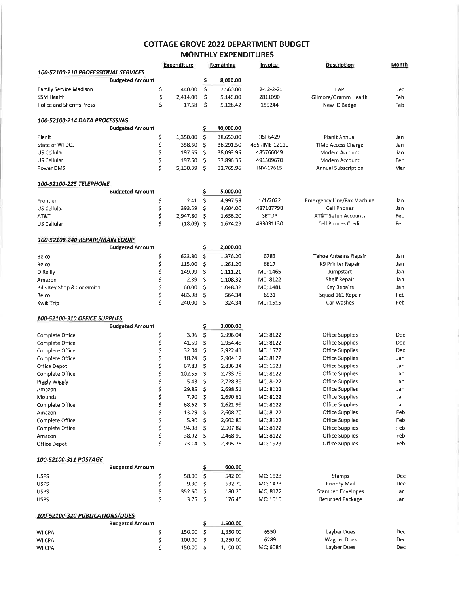#### **COTTAGE GROVE 2022 DEPARTMENT BUDGET MONTHLY EXPENDITURES**

|                                      |                        |          | Expenditure       | Remaining               |                  | Invoice       | <b>Description</b>                | Month |
|--------------------------------------|------------------------|----------|-------------------|-------------------------|------------------|---------------|-----------------------------------|-------|
| 100-52100-210 PROFESSIONAL SERVICES  |                        |          |                   |                         |                  |               |                                   |       |
|                                      | <b>Budgeted Amount</b> |          |                   | \$                      | 8,000.00         |               |                                   |       |
| Family Service Madison               |                        | \$       | 440.00            | \$                      | 7,560.00         | 12-12-2-21    | EAP                               | Dec   |
| SSM Health                           |                        | \$       | 2,414.00          | \$                      | 5,146.00         | 2811090       | Gilmore/Gramm Health              | Feb   |
| Police and Sheriffs Press            |                        | \$       | 17.58             | \$                      | 5,128.42         | 159244        | New ID Badge                      | Feb   |
|                                      |                        |          |                   |                         |                  |               |                                   |       |
| 100-52100-214 DATA PROCESSING        | <b>Budgeted Amount</b> |          |                   | \$                      | 40,000.00        |               |                                   |       |
| Planit                               |                        | \$       | 1,350.00          | \$                      | 38,650.00        | RSI-6429      | Planit Annual                     | Jan   |
| State of WI DOJ                      |                        | \$       | 358.50            | \$                      | 38,291.50        | 455TIME-12110 | <b>TIME Access Charge</b>         | Jan   |
| US Cellular                          |                        | \$       | 197.55            | \$                      | 38,093.95        | 485766049     | Modem Account                     | Jan   |
| US Cellular                          |                        | \$       | 197.60            | \$                      | 37,896.35        | 491509670     | Modem Account                     | Feb   |
| Power DMS                            |                        | \$       | 5,130.39          | \$.                     | 32,765.96        | INV-17615     | Annual Subscription               | Mar   |
|                                      |                        |          |                   |                         |                  |               |                                   |       |
| 100-52100-225 TELEPHONE              |                        |          |                   |                         |                  |               |                                   |       |
|                                      | <b>Budgeted Amount</b> |          |                   | \$                      | 5,000.00         |               |                                   |       |
| Frontier                             |                        | \$       | 2.41              | \$                      | 4,997.59         | 1/1/2022      | <b>Emergency Line/Fax Machine</b> | Jan   |
| US Cellular                          |                        | \$       | 393.59            | \$                      | 4,604.00         | 487187798     | <b>Cell Phones</b>                | Jan   |
| AT&T                                 |                        | \$       | 2,947.80          | \$                      | 1,656.20         | <b>SETUP</b>  | <b>AT&amp;T Setup Accounts</b>    | Feb   |
| US Cellular                          |                        | Ś        | $(18.09)$ \$      |                         | 1,674.29         | 493031130     | Cell Phones Credit                | Feb   |
| 100-52100-240 REPAIR/MAIN EQUIP      |                        |          |                   |                         |                  |               |                                   |       |
|                                      | <b>Budgeted Amount</b> |          |                   | \$                      | 2,000.00         |               |                                   |       |
| Belco                                |                        | \$       | 623.80            | \$                      | 1,376.20         | 6783          | Tahoe Antenna Repair              | Jan   |
| Belco                                |                        | \$       | 115.00            | \$                      | 1,261.20         | 6817          | K9 Printer Repair                 | Jan   |
| O'Reilly                             |                        | \$       | 149.99            | \$                      | 1,111.21         | MC; 1465      | Jumpstart                         | Jan   |
| Amazon                               |                        | \$       | 2.89              | \$                      | 1,108.32         | MC; 8122      | Shelf Repair                      | Jan   |
| Bills Key Shop & Locksmith           |                        | \$       | 60.00             | \$                      | 1,048.32         | MC; 1481      | <b>Key Repairs</b>                | Jan   |
| Belco                                |                        | \$       | 483.98            | \$                      | 564.34           | 6931          | Squad 161 Repair                  | Feb   |
| Kwik Trip                            |                        | \$       | 240.00            | \$                      | 324.34           | MC; 1515      | Car Washes                        | Feb   |
| <b>100-52100-310 OFFICE SUPPLIES</b> |                        |          |                   |                         |                  |               |                                   |       |
|                                      | <b>Budgeted Amount</b> |          |                   | \$                      | 3,000.00         |               |                                   |       |
| Complete Office                      |                        | \$       | 3.96              | \$                      | 2,996.04         | MC, 8122      | Office Supplies                   | Dec   |
| Complete Office                      |                        | \$       | 41.59             | \$                      | 2,954.45         | MC; 8122      | Office Supplies                   | Dec   |
| Complete Office                      |                        | \$       | 32.04             | \$                      | 2,922.41         | MC; 1572      | Office Supplies                   | Dec   |
| Complete Office                      |                        | \$       | 18.24             | \$                      | 2,904.17         | MC; 8122      | <b>Office Supplies</b>            | Jan   |
| Office Depot                         |                        | \$       | 67.83             | \$                      | 2,836.34         | MC; 1523      | Office Supplies                   | Jan   |
| Complete Office                      |                        | \$       | 102.55            | \$                      | 2,733.79         | MC; 8122      | Office Supplies                   | Jan   |
| Piggly Wiggly                        |                        | \$       | 5.43              | \$                      | 2,728.36         | MC; 8122      | Office Supplies                   | Jan   |
| Amazon                               |                        | \$       | 29.85             | \$                      | 2,698.51         | MC; 8122      | <b>Office Supplies</b>            | Jan   |
| Mounds                               |                        | \$       | 7.90 \$           |                         | 2,690.61         | MC; 8122      | Office Supplies                   | Jan   |
| Complete Office                      |                        | \$       | $68.62 \quad$ \$  |                         | 2,621.99         | MC; 8122      | Office Supplies                   | Jan   |
| Amazon                               |                        | \$       | 13.29             | -\$                     | 2,608.70         | MC; 8122      | Office Supplies                   | Feb   |
| Complete Office                      |                        | \$       | 5.90              | -\$                     | 2,602.80         | MC; 8122      | <b>Office Supplies</b>            | Feb   |
| Complete Office                      |                        | \$       | 94.98             | \$                      | 2,507.82         | MC; 8122      | Office Supplies                   | Feb   |
| Amazon                               |                        | \$       | $38.92 \quad$ \$  |                         | 2,468.90         | MC; 8122      | <b>Office Supplies</b>            | Feb   |
| Office Depot                         |                        | \$       | $73.14 \text{ }$  |                         | 2,395.76         | MC; 1523      | Office Supplies                   | Feb   |
|                                      |                        |          |                   |                         |                  |               |                                   |       |
| 100-52100-311 POSTAGE                | <b>Budgeted Amount</b> |          |                   | \$                      | 600.00           |               |                                   |       |
| <b>USPS</b>                          |                        |          | 58.00             | -\$                     | 542.00           | MC; 1523      | Stamps                            | Dec   |
| <b>USPS</b>                          |                        | \$<br>\$ | 9.30              | \$                      | 532.70           | MC; 1473      | Priority Mail                     | Dec   |
|                                      |                        |          |                   |                         |                  | MC; 8122      | <b>Stamped Envelopes</b>          | Jan   |
| <b>USPS</b><br><b>USPS</b>           |                        | \$<br>\$ | 352.50<br>3.75 \$ | -Ş                      | 180.20<br>176.45 | MC; 1515      | Returned Package                  | Jan   |
|                                      |                        |          |                   |                         |                  |               |                                   |       |
| 100-52100-320 PUBLICATIONS/DUES      |                        |          |                   |                         |                  |               |                                   |       |
|                                      | <b>Budgeted Amount</b> |          |                   | \$                      | 1,500.00         |               |                                   |       |
| WI CPA                               |                        | \$       | 150.00            | $\overline{\mathsf{S}}$ | 1,350.00         | 6550          | Layber Dues                       | Dec   |
| WI CPA                               |                        | \$       | 100.00            | \$                      | 1,250.00         | 6289          | <b>Wagner Dues</b>                | Dec   |
| WI CPA                               |                        | \$       | 150.00            | -\$                     | 1,100.00         | MC; 6084      | Layber Dues                       | Dec   |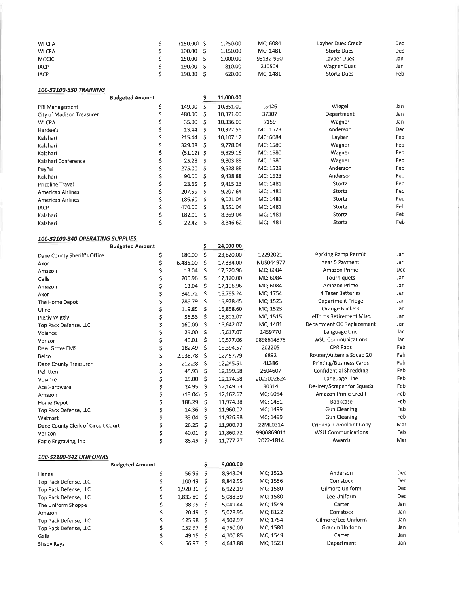| WI CPA       | (150.00) | L.250.00 | MC: 6084  | Layber Dues Credit | Dec |
|--------------|----------|----------|-----------|--------------------|-----|
| WI CPA       | 100.00   | L.150.00 | MC: 1481  | Stortz Dues        | Dec |
| <b>MOCIC</b> | 150.00   | 1.000.00 | 93132-990 | Layber Dues        | Jan |
| <b>JACP</b>  | 190.00   | 810.00   | 210504    | <b>Wagner Dues</b> | Jan |
| <b>IACP</b>  | 190.00   | 620.00   | MC; 1481  | <b>Stortz Dues</b> | Feb |

| 100-52100-330 TRAINING |  |
|------------------------|--|
|                        |  |

|                           | <b>Budgeted Amount</b> |              |     | 11,000.00 |          |            |     |
|---------------------------|------------------------|--------------|-----|-----------|----------|------------|-----|
| PRI Management            |                        | 149.00       |     | 10,851.00 | 15426    | Wiegel     | Jan |
| City of Madison Treasurer |                        | 480.00       | s   | 10,371.00 | 37307    | Department | Jan |
| WI CPA                    |                        | 35.00        | s   | 10,336.00 | 7159     | Wagner     | Jan |
| Hardee's                  |                        | 13.44        | s   | 10,322.56 | MC; 1523 | Anderson   | Dec |
| Kalahari                  |                        | 215.44       | Ŝ   | 10,107.12 | MC: 6084 | Layber     | Feb |
| Kalahari                  |                        | 329.08       | S   | 9,778.04  | MC; 1580 | Wagner     | Feb |
| Kalahari                  |                        | $(51.12)$ \$ |     | 9,829.16  | MC; 1580 | Wagner     | Feb |
| Kalahari Conference       |                        | 25.28        | S   | 9,803.88  | MC; 1580 | Wagner     | Feb |
| PayPal                    |                        | 275.00       | S   | 9,528.88  | MC; 1523 | Anderson   | Feb |
| Kalahari                  |                        | 90.00        | Ŝ.  | 9.438.88  | MC; 1523 | Anderson   | Feb |
| Priceline Travel          |                        | 23.65        | s   | 9,415.23  | MC; 1481 | Stortz     | Feb |
| American Airlines         |                        | 207.59       | Ŝ   | 9.207.64  | MC; 1481 | Stortz     | Feb |
| American Airlines         |                        | 186.60       | S   | 9,021.04  | MC: 1481 | Stortz     | Feb |
| <b>IACP</b>               |                        | 470.00       | -S  | 8.551.04  | MC; 1481 | Stortz     | Feb |
| Kalahari                  |                        | 182.00       | S   | 8,369.04  | MC: 1481 | Stortz     | Feb |
| Kalahari                  |                        | 22.42        | \$. | 8,346.62  | MC; 1481 | Stortz     | Feb |
|                           |                        |              |     |           |          |            |     |

#### 100-52100-340 OPERATING SUPPLIES

|                                    | <b>Budgeted Amount</b> |              | \$ | 24,000.00 |                   |                            |     |
|------------------------------------|------------------------|--------------|----|-----------|-------------------|----------------------------|-----|
| Dane County Sheriff's Office       | \$                     | 180.00       | \$ | 23,820.00 | 12292021          | Parking Ramp Permit        | Jan |
| Axon                               | \$                     | 6,486.00     | \$ | 17,334.00 | <b>INUS044977</b> | Year 5 Payment             | Jan |
| Amazon                             | \$                     | 13.04        | \$ | 17,320.96 | MC; 6084          | Amazon Prime               | Dec |
| Galls                              | \$                     | 200.96       | Ś  | 17,120.00 | MC; 6084          | Tourniquets                | Jan |
| Amazon                             | \$                     | 13.04        | \$ | 17,106.96 | MC; 6084          | Amazon Prime               | Jan |
| Axon                               | \$                     | 341.72       | \$ | 16,765.24 | MC; 1754          | 4 Taser Batteries          | Jan |
| The Home Depot                     | \$                     | 786.79       | \$ | 15,978.45 | MC; 1523          | Department Fridge          | Jan |
| Uline                              | \$                     | 119.85       | Ś  | 15,858.60 | MC; 1523          | <b>Orange Buckets</b>      | Jan |
| Piggly Wiggly                      | \$                     | 56.53        | \$ | 15,802.07 | MC; 1515          | Jeffords Retirement Misc.  | Jan |
| Top Pack Defense, LLC              | \$                     | 160.00       | \$ | 15,642.07 | MC; 1481          | Department OC Replacement  | Jan |
| Voiance                            | \$                     | 25.00        | Ś  | 15,617.07 | 1459770           | Language Line              | Jan |
| Verizon                            | \$                     | 40.01        | \$ | 15,577.06 | 9898614375        | <b>WSU Communications</b>  | Jan |
| Deer Grove EMS                     | \$                     | 182.49       | \$ | 15,394.57 | 202205            | <b>CPR Pads</b>            | Feb |
| Belco                              | \$                     | 2,936.78     | \$ | 12,457.79 | 6892              | Router/Antenna Squad 20    | Feb |
| Dane County Treasurer              | \$                     | 212.28       | \$ | 12,245.51 | 41386             | Printing/Business Cards    | Feb |
| Pellitteri                         | \$                     | 45.93        | \$ | 12,199.58 | 2604607           | Confidential Shredding     | Feb |
| Voiance                            | \$                     | 25.00        | Ś  | 12,174.58 | 2022002624        | Language Line              | Feb |
| Ace Hardware                       | \$                     | 24.95        | \$ | 12,149.63 | 90314             | De-Icer/Scraper for Squads | Feb |
| Amazon                             | \$                     | $(13.04)$ \$ |    | 12,162.67 | MC; 6084          | Amazon Prime Credit        | Feb |
| Home Depot                         | \$                     | 188.29       | \$ | 11,974.38 | MC; 1481          | Bookcase                   | Feb |
| Top Pack Defense, LLC              | \$                     | 14.36        | \$ | 11,960.02 | MC; 1499          | <b>Gun Cleaning</b>        | Feb |
| Walmart                            | \$                     | 33.04        | \$ | 11,926.98 | MC; 1499          | <b>Gun Cleaning</b>        | Feb |
| Dane County Clerk of Circuit Court | \$                     | 26.25        | \$ | 11,900.73 | 22ML0314          | Criminal Complaint Copy    | Mar |
| Verizon                            | \$                     | 40.01        | \$ | 11,860.72 | 9900869011        | <b>WSU Communications</b>  | Feb |
| Eagle Engraving, Inc.              | \$                     | 83.45        | \$ | 11,777.27 | 2022-1814         | Awards                     | Mar |
| 100-52100-342 UNIFORMS             |                        |              |    |           |                   |                            |     |
|                                    | <b>Budgeted Amount</b> |              | \$ | 9,000.00  |                   |                            |     |
| Hanes                              | \$                     | 56.96        | \$ | 8,943.04  | MC: 1523          | Anderson                   | Dec |
| Top Pack Defense, LLC              | \$                     | 100.49       | \$ | 8,842.55  | MC; 1556          | Comstock                   | Dec |
| Top Pack Defense, LLC              | \$                     | 1,920.36     | \$ | 6,922.19  | MC; 1580          | Gilmore Uniform            | Dec |
| Top Pack Defense, LLC              | \$                     | 1,833.80     | \$ | 5,088.39  | MC; 1580          | Lee Uniform                | Dec |
| The Uniform Shoppe                 | \$                     | 38.95        | \$ | 5,049.44  | MC; 1549          | Carter                     | Jan |
| Amazon                             | \$                     | 20.49        | \$ | 5,028.95  | MC; 8122          | Comstock                   | Jan |
| Top Pack Defense, LLC              | \$                     | 125.98       | Ś  | 4,902.97  | MC; 1754          | Gilmore/Lee Uniform        | Jan |
| Top Pack Defense, LLC              | \$                     | 152.97       | \$ | 4,750.00  | MC; 1580          | Gramm Uniform              | Jan |
| Galls                              | \$                     | 49.15        | \$ | 4,700.85  | MC; 1549          | Carter                     | Jan |
| Shady Rays                         | \$                     | 56.97        | \$ | 4,643.88  | MC; 1523          | Department                 | Jan |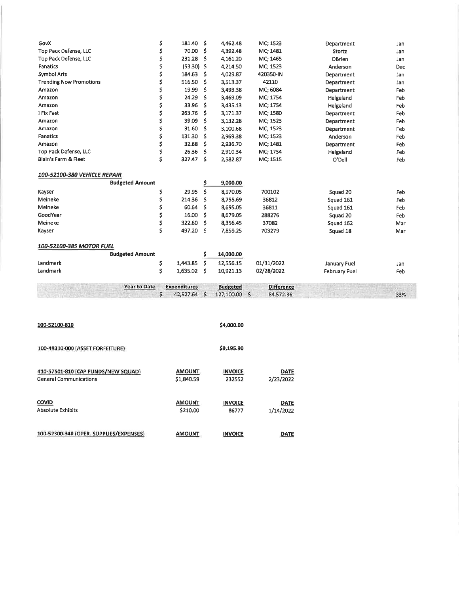| GovX                           | \$<br>181.40        | \$ | 4,462.48        | MC; 1523          | Department    | Jan        |
|--------------------------------|---------------------|----|-----------------|-------------------|---------------|------------|
| Top Pack Defense, LLC          | \$<br>70.00         | \$ | 4,392.48        | MC; 1481          | Stortz        | Jan        |
| Top Pack Defense, LLC          | \$<br>231.28        | \$ | 4,161.20        | MC; 1465          | OBrien        | Jan        |
| Fanatics                       | \$<br>$(53.30)$ \$  |    | 4,214.50        | MC; 1523          | Anderson      | <b>Dec</b> |
| <b>Symbol Arts</b>             | \$<br>184.63        | \$ | 4,029.87        | 420350-IN         | Department    | Jan        |
| <b>Trending Now Promotions</b> | \$<br>516.50        | \$ | 3,513.37        | 42110             | Department    | Jan        |
| Amazon                         | \$<br>19.99         | \$ | 3,493.38        | MC; 6084          | Department    | Feb        |
| Amazon                         | \$<br>24.29         | \$ | 3,469.09        | MC; 1754          | Helgeland     | Feb        |
| Amazon                         | \$<br>33.96         | \$ | 3,435.13        | MC; 1754          | Helgeland     | Feb        |
| 1 Fix Fast                     | \$<br>263.76        | \$ | 3,171.37        | MC; 1580          | Department    | Feb        |
| Amazon                         | \$<br>39.09         | \$ | 3,132.28        | MC; 1523          | Department    | Feb        |
| Amazon                         | \$<br>31.60         | \$ | 3,100.68        | MC; 1523          | Department    | Feb        |
| Fanatics                       | \$<br>131.30        | \$ | 2,969.38        | MC; 1523          | Anderson      | Feb        |
| Amazon                         | \$<br>32.68         | \$ | 2,936.70        | MC; 1481          | Department    | Feb        |
| Top Pack Defense, LLC          | \$<br>26.36         | \$ | 2,910.34        | MC; 1754          | Helgeland     | Feb        |
| Blain's Farm & Fleet           | \$<br>327.47        | \$ | 2,582.87        | MC; 1515          | O'Dell        | Feb        |
| 100-52100-380 VEHICLE REPAIR   |                     |    |                 |                   |               |            |
| <b>Budgeted Amount</b>         |                     | \$ | 9,000.00        |                   |               |            |
| Kayser                         | \$<br>29.95         | \$ | 8,970.05        | 700102            | Squad 20      | Feb        |
| Meineke                        | \$<br>214.36        | Ŝ. | 8,755.69        | 36812             | Squad 161     | Feb        |
| Meineke                        | \$<br>60.64         | \$ | 8,695.05        | 36811             | Squad 161     | Feb        |
| GoodYear                       | \$<br>16.00         | \$ | 8,679.05        | 288276            | Squad 20      | Feb        |
| Meineke                        | \$<br>322.60        | \$ | 8,356.45        | 37082             | Squad 162     | Mar        |
| Kayser                         | \$<br>497.20        | \$ | 7,859.25        | 703279            | Squad 18      | Mar        |
| 100-52100-385 MOTOR FUEL       |                     |    |                 |                   |               |            |
| <b>Budgeted Amount</b>         |                     | \$ | 14,000.00       |                   |               |            |
| Landmark                       | \$<br>1,443.85      | \$ | 12,556.15       | 01/31/2022        | January Fuel  | Jan        |
| Landmark                       | \$<br>1,635.02      | \$ | 10,921.13       | 02/28/2022        | February Fuel | Feb        |
| <b>Year to Date</b>            | <b>Expenditures</b> |    | <b>Budgeted</b> | <b>Difference</b> |               |            |
|                                | \$<br>42,527.64 \$  |    | 127,100.00 \$   | 84,572.36         |               | 33%        |
|                                |                     |    |                 |                   |               |            |
| 100-52100-810                  |                     |    | \$4,000.00      |                   |               |            |

| 100-48310-000 (ASSET FORFEITURE)        |               | \$9,195.90     |             |
|-----------------------------------------|---------------|----------------|-------------|
| 410-57501-810 (CAP FUNDS/NEW SQUAD)     | <b>AMOUNT</b> | <b>INVOICE</b> | <b>DATE</b> |
| <b>General Communications</b>           | \$1,840.59    | 232552         | 2/23/2022   |
| <b>COVID</b>                            | <b>AMOUNT</b> | <b>INVOICE</b> | <b>DATE</b> |
| <b>Absolute Exhibits</b>                | \$210.00      | 86777          | 1/14/2022   |
| 100-52300-340 (OPER. SUPPLIES/EXPENSES) | <b>AMOUNT</b> | <b>INVOICE</b> | <b>DATE</b> |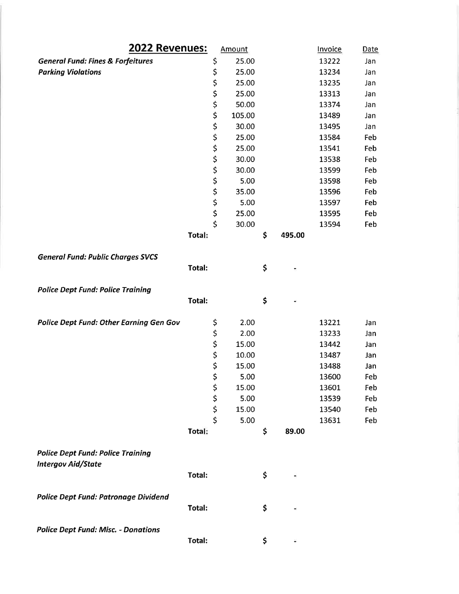| 2022 Revenues:                                 |        | Amount                  |        | Invoice      | Date  |     |
|------------------------------------------------|--------|-------------------------|--------|--------------|-------|-----|
| <b>General Fund: Fines &amp; Forfeitures</b>   | \$     | 25.00                   |        | 13222        | Jan   |     |
| <b>Parking Violations</b>                      |        | \$                      | 25.00  |              | 13234 | Jan |
|                                                |        | \$                      | 25.00  |              | 13235 | Jan |
|                                                |        | \$                      | 25.00  |              | 13313 | Jan |
|                                                |        | \$                      | 50.00  |              | 13374 | Jan |
|                                                |        | \$                      | 105.00 |              | 13489 | Jan |
|                                                |        | \$                      | 30.00  |              | 13495 | Jan |
|                                                |        | \$                      | 25.00  |              | 13584 | Feb |
|                                                |        | \$                      | 25.00  |              | 13541 | Feb |
|                                                |        | \$                      | 30.00  |              | 13538 | Feb |
|                                                |        | \$                      | 30.00  |              | 13599 | Feb |
|                                                |        | \$                      | 5.00   |              | 13598 | Feb |
|                                                |        | \$                      | 35.00  |              | 13596 | Feb |
|                                                |        | \$                      | 5.00   |              | 13597 | Feb |
|                                                |        | \$                      | 25.00  |              | 13595 | Feb |
|                                                |        | $\overline{\mathsf{S}}$ | 30.00  |              | 13594 | Feb |
|                                                | Total: |                         |        | \$<br>495.00 |       |     |
|                                                |        |                         |        |              |       |     |
| <b>General Fund: Public Charges SVCS</b>       | Total: |                         |        | \$           |       |     |
|                                                |        |                         |        |              |       |     |
| <b>Police Dept Fund: Police Training</b>       |        |                         |        |              |       |     |
|                                                | Total: |                         |        | \$           |       |     |
|                                                |        |                         |        |              |       |     |
| <b>Police Dept Fund: Other Earning Gen Gov</b> |        | \$                      | 2.00   |              | 13221 | Jan |
|                                                |        | \$                      | 2.00   |              | 13233 | Jan |
|                                                |        | \$                      | 15.00  |              | 13442 | Jan |
|                                                |        |                         | 10.00  |              | 13487 | Jan |
|                                                |        | \$<br>\$                | 15.00  |              | 13488 | Jan |
|                                                |        | \$                      | 5.00   |              | 13600 | Feb |
|                                                |        | \$                      | 15.00  |              | 13601 | Feb |
|                                                |        | \$                      | 5.00   |              | 13539 | Feb |
|                                                |        | \$                      | 15.00  |              | 13540 | Feb |
|                                                |        | \$                      | 5.00   |              | 13631 | Feb |
|                                                | Total: |                         |        | \$<br>89.00  |       |     |
|                                                |        |                         |        |              |       |     |
| <b>Police Dept Fund: Police Training</b>       |        |                         |        |              |       |     |
| <b>Intergov Aid/State</b>                      |        |                         |        |              |       |     |
|                                                | Total: |                         |        | \$           |       |     |
|                                                |        |                         |        |              |       |     |
|                                                |        |                         |        |              |       |     |
| <b>Police Dept Fund: Patronage Dividend</b>    |        |                         |        |              |       |     |
|                                                | Total: |                         |        | \$           |       |     |
| <b>Police Dept Fund: Misc. - Donations</b>     |        |                         |        |              |       |     |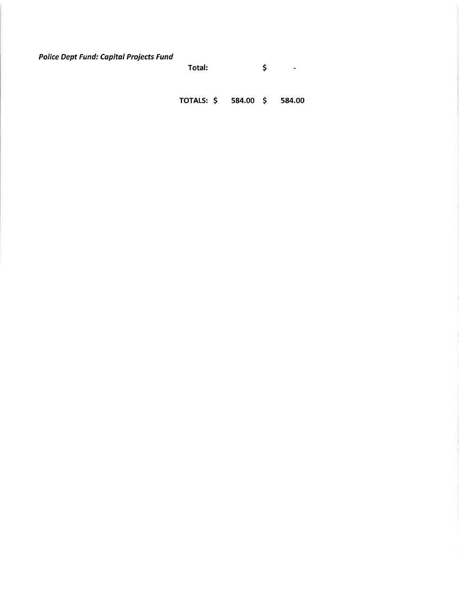**Police Dept Fund: Capital Projects Fund** 

Total:  $\ddot{\bm{\zeta}}$ Ŵ,

TOTALS: \$ 584.00 \$ 584.00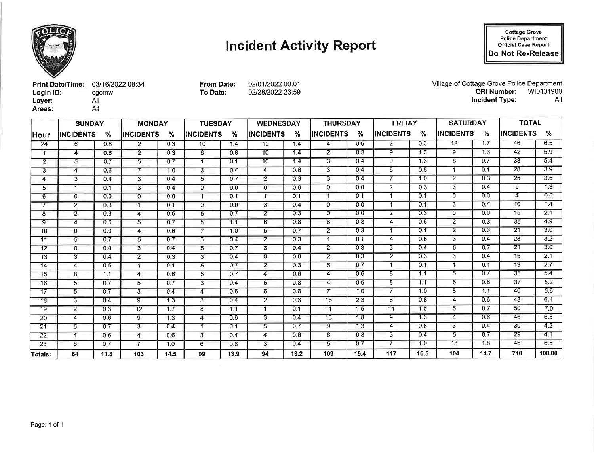

# **Incident Activity Report**

**Cottage Grove<br>Police Department<br>Official Case Report** Do Not Re-Release

| <b>Print Date/Time: 03/16/2022 08:34</b> |       |
|------------------------------------------|-------|
| Login ID:                                | cgcmw |
| Layer:                                   | All   |
| Areas:                                   | All   |

**From Date:** 02/01/2022 00:01 To Date: 02/28/2022 23:59 Village of Cottage Grove Police Department<br>ORI Number: WI0131900 **Incident Type:** All

|                 | <b>SUNDAY</b>     | <b>TUESDAY</b><br><b>MONDAY</b> |                   |      |                  | <b>WEDNESDAY</b> |                         | <b>THURSDAY</b> |                  | <b>FRIDAY</b> |                         | <b>SATURDAY</b> |                  | <b>TOTAL</b> |                   |        |
|-----------------|-------------------|---------------------------------|-------------------|------|------------------|------------------|-------------------------|-----------------|------------------|---------------|-------------------------|-----------------|------------------|--------------|-------------------|--------|
| lHour           | <b>IINCIDENTS</b> | %                               | <b>IINCIDENTS</b> | %    | <b>INCIDENTS</b> | %                | <b>INCIDENTS</b>        | %               | <b>INCIDENTS</b> | %             | <b>IINCIDENTS</b>       | %               | <b>INCIDENTS</b> | %            | <b>IINCIDENTS</b> | %      |
| 24              | 6                 | 0.8                             | $\mathbf{2}$      | 0.3  | 10               | 1.4              | 10                      | 1.4             | 4                | 0.6           | 2                       | 0.3             | $\overline{12}$  | 1.7          | 46                | 6.5    |
|                 | 4                 | 0.6                             | $\overline{2}$    | 0.3  | 6                | 0.8              | 10                      | 1.4             | $\overline{2}$   | 0.3           | 9                       | 1.3             | 9                | 1.3          | 42                | 5.9    |
| $\overline{2}$  | 5                 | 0.7                             | 5                 | 0.7  | -1               | 0.1              | 10                      | 1.4             | 3                | 0.4           | 9                       | 1.3             | 5                | 0.7          | $\overline{38}$   | 5.4    |
| 3               | 4                 | 0.6                             | $\overline{7}$    | 1.0  | 3                | 0.4              | 4                       | 0.6             | 3                | 0.4           | 6                       | 0.8             | $\mathbf{1}$     | 0.1          | 28                | 3.9    |
| 4               | 3                 | 0.4                             | $\overline{3}$    | 0.4  | 5                | 0.7              | $\overline{2}$          | 0.3             | $\overline{3}$   | 0.4           | $\overline{\mathbf{z}}$ | 1.0             | $\overline{2}$   | 0.3          | 25                | 3.5    |
| 5               | 1                 | 0.1                             | 3                 | 0.4  | $\Omega$         | 0.0              | $\mathbf{0}$            | 0.0             | $\mathbf{0}$     | 0.0           | $2^{\circ}$             | 0.3             | 3                | 0.4          | 9                 | 1.3    |
| 6               | 0                 | 0.0                             | $\overline{0}$    | 0.0  |                  | 0.1              | 1                       | 0.1             |                  | 0.1           | -1                      | 0.1             | $\overline{0}$   | 0.0          | 4                 | 0.6    |
|                 | $\overline{2}$    | 0.3                             | 1                 | 0.1  | 0                | 0.0              | 3                       | 0.4             | 0                | 0.0           | -1                      | 0.1             | 3                | 0.4          | 10                | 1.4    |
| 8               | $\overline{2}$    | 0.3                             | $\overline{4}$    | 0.6  | 5                | 0.7              | $\overline{2}$          | 0.3             | 0                | 0.0           | $\overline{2}$          | 0.3             | $\Omega$         | 0.0          | 15                | 2.1    |
| 9               | 4                 | 0.6                             | 5                 | 0.7  | 8                | 1.1              | 6                       | 0.8             | 6                | 0.8           | 4                       | 0.6             | $\overline{2}$   | 0.3          | 35                | 4.9    |
| 10              | $\mathbf{0}$      | 0.0                             | 4                 | 0.6  | $\overline{7}$   | 1.0              | 5                       | 0.7             | $\overline{2}$   | 0.3           | -1                      | 0.1             | $\overline{2}$   | 0.3          | 21                | 3.0    |
| 11              | 5                 | 0.7                             | 5                 | 0.7  | 3                | 0.4              | $\overline{2}$          | 0.3             |                  | 0.1           | 4                       | 0.6             | 3                | 0.4          | 23                | 3.2    |
| 12              | $\sigma$          | 0.0                             | $\overline{3}$    | 0.4  | 5                | 0.7              | $\overline{\mathbf{3}}$ | 0.4             | $\overline{2}$   | 0.3           | $\overline{3}$          | 0.4             | 5                | 0.7          | 21                | 3.0    |
| 13              | 3                 | 0.4                             | $\overline{2}$    | 0.3  | 3                | 0.4              | 0                       | 0.0             | $\overline{2}$   | 0.3           | $\overline{2}$          | 0.3             | 3                | 0.4          | 15                | 2.1    |
| 14              | 4                 | 0.6                             | 1                 | 0.1  | 5                | 0.7              | $\overline{2}$          | 0.3             | 5                | 0.7           |                         | 0.1             | 1                | 0.1          | 19                | 2.7    |
| $\overline{15}$ | 8                 | 1.1                             | 4                 | 0.6  | 5                | 0.7              | 4                       | 0.6             | 4                | 0.6           | 8                       | 1:1             | 5                | 0.7          | 38                | 5.4    |
| 16              | 5                 | 0.7                             | 5                 | 0.7  | 3                | 0.4              | 6                       | 0.8             | 4                | 0.6           | 8                       | 1.1             | 6                | 0.8          | 37                | 5.2    |
| 17              | 5                 | 0.7                             | 3                 | 0.4  | 4                | 0.6              | 6                       | 0.8             |                  | 1.0           | 7                       | 1.0             | 8                | 1.1          | 40                | 5.6    |
| 18              | 3                 | 0.4                             | 9                 | 1.3  | 3                | 0.4              | $\overline{2}$          | 0.3             | 16               | 2.3           | 6                       | 0.8             | 4                | 0.6          | 43                | 6.1    |
| 19              | $\overline{2}$    | 0.3                             | 12                | 1.7  | 8                | 1.1              | $\overline{1}$          | 0.1             | 11               | 1.5           | 11                      | 1.5             | 5                | 0.7          | 50                | 7.0    |
| 20              | 4                 | 0.6                             | 9                 | 1.3  | 4                | 0.6              | 3                       | 0.4             | 13               | 1.8           | 9                       | 1.3             | 4                | 0.6          | 46                | 6,5    |
| 21              | 5                 | 0.7                             | $\overline{3}$    | 0.4  | $\mathbf{f}$     | 0.1              | 5                       | 0.7             | $\overline{9}$   | 1.3           | 4                       | 0.6             | 3                | 0.4          | 30                | 4.2    |
| 22              | 4                 | 0.6                             | $\overline{4}$    | 0.6  | 3                | 0.4              | 4                       | 0.6             | 6                | 0.8           | 3                       | 0.4             | 5                | 0.7          | 29                | 4.1    |
| 23              | 5                 | 0.7                             | $\overline{7}$    | 1.0  | 6                | 0.8              | 3.                      | 0.4             | 5                | 0.7           | 7                       | 1,0             | 13               | 1,8          | 46                | 6.5    |
| Totals:         | 84                | 11.8                            | 103               | 14.5 | 99               | 13.9             | 94                      | 13.2            | 109              | 15.4          | 117                     | 16.5            | 104              | 14.7         | 710               | 100.00 |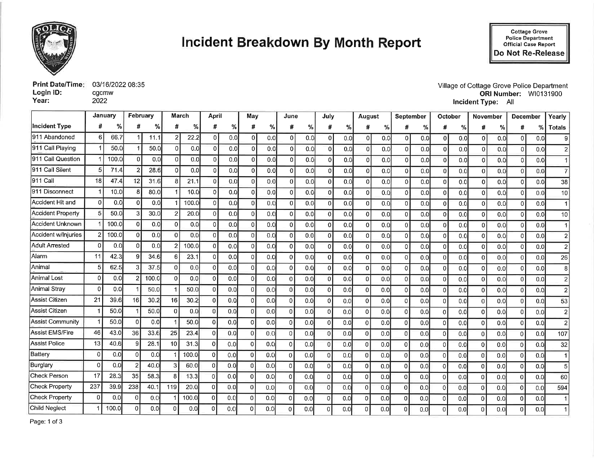

# **Incident Breakdown By Month Report**

| Print Date/Time: 03/16/2022 08:35 |       |
|-----------------------------------|-------|
| Login ID:                         | cacmw |
| Year:                             | 2022  |

Village of Cottage Grove Police Department<br>ORI Number: WI0131900 Incident Type: All

|                          | January      |       | February        |       |                 | March |                | April |          | May |             | June |                | July |              | August |                | September     | <b>October</b> |     | <b>November</b> |     | <b>December</b> |     | Yearly         |
|--------------------------|--------------|-------|-----------------|-------|-----------------|-------|----------------|-------|----------|-----|-------------|------|----------------|------|--------------|--------|----------------|---------------|----------------|-----|-----------------|-----|-----------------|-----|----------------|
| <b>Incident Type</b>     | #            | %     | #               | %     | #               | %     | #              | %     | #        | %   | #           | %    | #              | %    |              | %      | #              | $\frac{9}{6}$ | #              | %   | #               | %   | #               | %   | <b>Totals</b>  |
| 911 Abandoned            | 6            | 66.7  |                 | 11.1  | 2 <sup>1</sup>  | 22.2  | $\mathbf 0$    | 0.0   | 0        | 0.0 | $\Omega$    | 0.0  | $\mathbf{0}$   | 0.0  | ΩI           | 0.0    | ΩI             | 0.0           | $\overline{0}$ | 0.0 | ΩI              | 0.0 | $\Omega$        | 0.0 | 9              |
| 911 Call Playing         |              | 50.0  |                 | 50.0  | $\Omega$        | 0.0   | $\Omega$       | 0.0   | Ωl       | 0.0 | $\Omega$    | 0.0  | $\Omega$       | 0.0  | U            | 0.0    | $\Omega$       | 0.0           | $\Omega$       | 0.0 | $\Omega$        | 0.0 | $\Omega$        | 0.0 | $\overline{2}$ |
| 911 Call Question        |              | 100.0 | n               | 0.0   | $\Omega$        | 0.0   | $\Omega$       | 0.0   | $\Omega$ | 0.0 | οI          | 0.0  | 0              | 0.0  | ΩI           | 0,0    | $\overline{0}$ | 0.0           | $\overline{0}$ | 0.0 | $\Omega$        | 0.0 | $\Omega$        | 0.0 | $\mathbf{1}$   |
| 911 Call Silent          | 5            | 71.4  | 2               | 28.6  | $\Omega$        | 0.0   | $\Omega$       | 0.0   | $\Omega$ | 0.0 | $\Omega$    | 0.0  | $\Omega$       | 0.0  |              | 0.0    | οl             | 0.0           | $\Omega$       | 0.0 | $\Omega$        | 0.0 | $\Omega$        | 0.0 | $\overline{7}$ |
| 911 Call                 | 18           | 47.4  | 12              | 31.6  | R               | 21.1  | $\Omega$       | 0.0   | ΩI       | 0,0 | $\Omega$    | 0.0  | $\mathbf 0$    | 0.0  |              | 0.0    | $\Omega$       | 0.0           | $\Omega$       | 0.0 | ΩI              | 0.0 | $\Omega$        | 0.0 | 38             |
| 911 Disconnect           |              | 10.0  |                 | 80.0  |                 | 10.0  | 0              | 0.0   | ΩI       | 0.0 | $\Omega$    | 0,0  | $\overline{0}$ | 0.0  |              | 0.0    | Ωl             | 0.0           | $\Omega$       | 0.0 | $\Omega$        | 0.0 | $\Omega$        | 0.0 | 10             |
| Accident Hit and         | $\Omega$     | 0.0   | n               | 0.0   |                 | 100.0 | 0              | 0.0   | ΩI       | 0.0 | $\Omega$    | 0.0  | $\Omega$       | 0.0  |              | 0.0    | $\Omega$       | 0.0           | $\Omega$       | 0.0 | o١              | 0.0 | $\Omega$        | 0.0 | $\mathbf{1}$   |
| <b>Accident Property</b> | 5            | 50.0  |                 | 30.0  |                 | 20.0  | $\Omega$       | 0.0   | ΩI       | 0.0 | $\Omega$    | 0.0  | $\Omega$       | 0.0  |              | 0.0    | $\Omega$       | 0.0           | $\Omega$       | 0.0 | ΩI              | 0.0 | $\Omega$        | 0.0 | 10             |
| Accident Unknown         |              | 100.0 | 0               | 0.0   | οI              | 0.0   | $\Omega$       | 0.0   | ΩI       | 0.0 | $\Omega$    | 0.0  | 0              | 0.0  |              | 0.0    | $\mathbf 0$    | 0.0           | $\mathbf 0$    | 0.0 | Ωl              | 0.0 | $\Omega$        | 0.0 | $\mathbf{1}$   |
| Accident w/Injuries      |              | 100.0 | $\Omega$        | 0.0   | $\Omega$        | 0.0   | $\Omega$       | 0.0   | $\Omega$ | 0.0 | $\Omega$    | 0.0  | $\Omega$       | 0.0  |              | 0.0    | $\Omega$       | 0.0           | $\Omega$       | 0.0 | ΩI              | 0.0 | $\Omega$        | 0.0 | $\overline{2}$ |
| <b>Adult Arrested</b>    | $\Omega$     | 0.0   | n.              | 0.0   | $\mathcal{P}$   | 100.0 | 0              | 0.0   | $\Omega$ | 0.0 | $\Omega$    | 0.0  | 0              | 0.0  | $\Omega$     | 0.0    | $\Omega$       | 0.0           | $\Omega$       | 0.0 | ΩI              | 0.0 | οl              | 0.0 | $\overline{2}$ |
| Alarm                    | 11           | 42.3  | g.              | 34.6  | 6               | 23.1  | 0              | 0.0   | ۵l       | 0.0 | $\Omega$    | 0.0  | 0              | 0.0  | O.           | 0.0    | $\mathbf 0$    | 0.0           | $\Omega$       | 0.0 | n١              | 0.0 | οl              | 0.0 | 26             |
| Animal                   | 5            | 62.5  |                 | 37.5  | $\Omega$        | 0.0   | $\Omega$       | 0.0   | ΩI       | 0.0 | $\Omega$    | 0.0  | $\Omega$       | 0.0  | n.           | 0.0    | $\Omega$       | 0.0           | $\Omega$       | 0.0 | ΩI              | 0.0 | $\Omega$        | 0.0 | 8              |
| <b>Animal Lost</b>       | $\mathbf 0$  | 0.0   |                 | 100.0 | $\Omega$        | 0.0   | $\mathbf 0$    | 0.0   | Ωİ       | 0.0 | $\Omega$    | 0.0  | $\overline{0}$ | 0.0  | n.           | 0.0    | $\Omega$       | 0.0           | $\overline{0}$ | 0.0 | ΩI              | 0.0 | $\overline{0}$  | 0.0 | $\overline{2}$ |
| Animal Strav             | 0            | 0.0   |                 | 50.0  |                 | 50.0  | $\Omega$       | 0.0   | ΩI       | 0.0 | $\mathbf 0$ | 0.0  | $\Omega$       | 0.0  | ∩∣           | 0.0    | 0              | 0.0           | $\mathbf 0$    | 0.0 | n               | 0.0 | $\Omega$        | 0.0 | $\overline{2}$ |
| <b>Assist Citizen</b>    | 21           | 39.6  | 16 <sup>1</sup> | 30.2  | 16              | 30.2  | 0              | 0.0   | ΩI       | 0.0 | $\Omega$    | 0.0  | $\Omega$       | 0.0  | ΩI           | 0.0    | $\Omega$       | 0.0           | $\mathbf{0}$   | 0.0 | $\cap$          | 0.0 | $\Omega$        | 0.0 | 53             |
| <b>Assist Citizen</b>    |              | 50.0  |                 | 50.0  | $\Omega$        | 0.0   | $\Omega$       | 0.0   |          | 0.0 | $\Omega$    | 0.0  | $\mathbf{0}$   | 0.0  |              | 0.0    | $\Omega$       | 0.0           | $\Omega$       | 0.0 | n١              | 0.0 | $\Omega$        | 0.0 | $\overline{2}$ |
| <b>Assist Community</b>  |              | 50.0  |                 | 0.0   |                 | 50.0  | $\overline{0}$ | 0.0   |          | 0.0 | $\Omega$    | 0.0  | $\mathbf{0}$   | 0.0  | $\Omega$     | 0.0    | 0              | 0.0           | $\Omega$       | 0.0 | ΩI              | 0.0 | οl              | 0.0 | $\overline{2}$ |
| <b>Assist EMS/Fire</b>   | 46           | 43.0  | 36              | 33.6  | 25              | 23.4  | $\Omega$       | 0.0   | $\Omega$ | 0.0 | $\Omega$    | 0.0  | $\overline{0}$ | 0.0  | n.           | 0.0    | $\Omega$       | 0.0           | $\Omega$       | 0.0 |                 | 0.0 | $\Omega$        | 0.0 | 107            |
| <b>Assist Police</b>     | 13           | 40.6  |                 | 28.1  | 10 <sup>1</sup> | 31.3  | $\Omega$       | 0.0   | n        | 0.0 | $\Omega$    | 0.0  | $\Omega$       | 0.0  |              | 0.0    | $\Omega$       | 0.0           | $\Omega$       | 0.0 |                 | 0.0 | Ωl              | 0.0 | 32             |
| Battery                  | $\Omega$     | 0.0   | Λ               | 0.0   |                 | 100.0 | 0              | 0.0   | U        | 0.0 | $\vert$ 0   | 0.0  | $\Omega$       | 0,0  | <sup>0</sup> | 0.0    | 0              | 0.0           | $\overline{0}$ | 0.0 |                 | 0.0 | $\overline{0}$  | 0.0 | 1              |
| Burglary                 | $\Omega$     | 0.0   |                 | 40.0  | 3 <sup>1</sup>  | 60.0  | $\Omega$       | 0.0   | ΩI       | 0.0 | 0           | 0.0  | $\overline{0}$ | 0.0  | $\Omega$     | 0.0    | $\Omega$       | 0.0           | $\Omega$       | 0.0 | $\Omega$        | 0.0 | ΩI              | 0.0 | 5 <sup>1</sup> |
| <b>Check Person</b>      | 17           | 28.3  | 35              | 58.3  | 8               | 13.3  | $\mathbf 0$    | 0.0   |          | 0.0 | $\Omega$    | 0.0  | $\Omega$       | 0.0  | $\Omega$     | 0.0    | $\Omega$       | 0.0           | $\Omega$       | 0.0 |                 | 0.0 | $\Omega$        | 0.0 | 60             |
| <b>Check Property</b>    | 237          | 39.9  | 238             | 40.1  | 119             | 20.0  | $\Omega$       | 0.0   |          | 0.0 | $\Omega$    | 0.0  | $\Omega$       | 0.0  | $\Omega$     | 0.0    | $\overline{0}$ | 0.0           | $\Omega$       | 0.0 |                 | 0.0 | $\Omega$        | 0.0 | 594            |
| <b>Check Property</b>    | $\mathbf{0}$ | 0.0   |                 | 0.0   |                 | 100.0 | $\mathbf 0$    | 0.0   |          | 0.0 | 0           | 0.0  | $\Omega$       | 0.0  | 0            | 0.0    | $\overline{0}$ | 0.0           | 0              | 0.0 | ΩI              | 0.0 | $\Omega$        | 0.0 | 1              |
| <b>Child Neglect</b>     |              | 100.0 |                 | 0.0   | O               | 0.0   | $\Omega$       | 0.0   |          | 0.0 | $\Omega$    | 0.0  | $\Omega$       | 0.0  |              | 0.0    | $\Omega$       | 0.0           | $\Omega$       | 0.0 |                 | 0.0 | O               | 0.0 |                |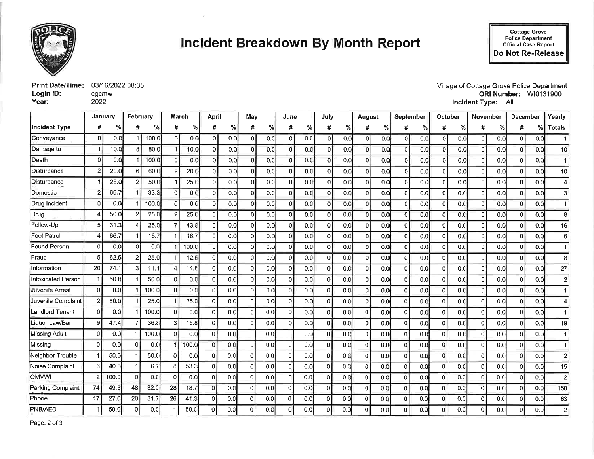

# **Incident Breakdown By Month Report**

Cottage Grove<br>Police Department<br>Official Case Report Do Not Re-Release

| <b>Print Date/Time: 03/16/2022 08:35</b> |       |
|------------------------------------------|-------|
| Login ID:                                | cgcmw |
| Year:                                    | 2022  |

Village of Cottage Grove Police Department ORI Number: WI0131900 Incident Type: All

|                           | January      |       | February     |       | March    |       | April          |     | May      |     | June           |     | July           |     | <b>August</b> |     | September      |      | October  |     | November       |     | December       |     | Yearly         |
|---------------------------|--------------|-------|--------------|-------|----------|-------|----------------|-----|----------|-----|----------------|-----|----------------|-----|---------------|-----|----------------|------|----------|-----|----------------|-----|----------------|-----|----------------|
| <b>Incident Type</b>      |              | %     | #            | %     | #        | %     | #              | %   | #        | %   | #              | ℅   | #              | %   | #             | %   | #              | %    | #        | ℅   | #              | %   | #              | %∣  | <b>Totals</b>  |
| Conveyance                | $\Omega$     | 0.0   |              | 100.0 | οI       | 0.0   | 0              | 0.0 | οI       | 0.0 | $\overline{0}$ | 0.0 | $\overline{0}$ | 0.0 | $\Omega$      | 0.0 | $\overline{0}$ | 0.0  | ΩI       | 0.0 | $\Omega$       | 0.0 | $\overline{0}$ | 0.0 |                |
| Damage to                 |              | 10.0  |              | 80.0  |          | 10.0  | $\Omega$       | 0.0 |          | 0.0 | $\Omega$       | 0.0 | $\Omega$       | 0.0 |               | 0.0 | $\Omega$       | 0.0  |          | 0.0 | $\Omega$       | 0.0 | $\Omega$       | 0.0 | 1(             |
| Death                     |              | 0.0   |              | 100.0 | $\Omega$ | 0.0   | $\overline{0}$ | 0.0 |          | 0.0 | $\overline{0}$ | 0.0 | 0              | 0.0 | $\Omega$      | 0.0 | 0              | 0.01 |          | 0.0 | $\Omega$       | 0.0 | $\Omega$       | 0.0 |                |
| Disturbance               |              | 20.0  | 6            | 60.0  | 2        | 20.0  | 0              | 0.0 |          | 0.0 | $\Omega$       | 0,0 | $\Omega$       | 0.0 | 01            | 0.0 | 0              | 0.0  | ΩI       | 0.0 | $\Omega$       | 0.0 | $\Omega$       | 0.0 | 1(             |
| Disturbance               |              | 25.0  |              | 50.0  |          | 25.0  | $\Omega$       | 0.0 |          | 0.0 | $\Omega$       | 0.0 | $\Omega$       | 0.0 |               | 0.0 | ΩI             | 0.0  |          | 0.0 | $\Omega$       | 0.0 | $\Omega$       | 0.0 |                |
| Domestic                  |              | 66.7  |              | 33.3  | 0        | 0.0   | 0              | 0.0 |          | 0.0 | 0              | 0.0 | $\Omega$       | 0.0 | n١            | 0.0 | $\overline{0}$ | 0.0  | O.       | 0.0 | $\mathbf 0$    | 0.0 | $\Omega$       | 0.0 |                |
| Drug Incident             | $\Omega$     | 0.0   |              | 100.0 | $\Omega$ | 0.0   | $\overline{0}$ | 0.0 |          | 0.0 | $\vert$        | 0.0 | $\Omega$       | 0.0 | n             | 0.0 | $\overline{0}$ | 0.0  | ΩI       | 0.0 | $\Omega$       | 0.0 | $\Omega$       | 0.0 |                |
| Drug                      |              | 50.0  |              | 25.0  |          | 25.0  | 0              | 0.0 |          | 0.0 | $\Omega$       | 0.0 | $\Omega$       | 0.0 |               | 0.0 | $\overline{0}$ | 0.0  |          | 0.0 | $\Omega$       | 0.0 | $\Omega$       | 0.0 |                |
| Follow-Up                 |              | 31.3  |              | 25.0  |          | 43.8  | 0              | 0.0 |          | 0.0 | 0              | 0.0 | 0              | 0.0 | n۱            | 0.0 | $\overline{0}$ | 0.0  |          | 0.0 | $\Omega$       | 0.0 | n              | 0.0 | 16             |
| Foot Patrol               |              | 66.7  |              | 16.7  |          | 16.7  | $\Omega$       | 0.0 |          | 0.0 | $\Omega$       | 0.0 | 0              | 0.0 | ΩI            | 0.0 | 0              | 0.0  | $\Omega$ | 0.0 | $\Omega$       | 0.0 | $\Omega$       | 0.0 |                |
| Found Person              | $\Omega$     | 0.0   | n            | 0.0   |          | 100.0 | $\Omega$       | 0.0 |          | 0.0 | $\Omega$       | 0.0 | $\Omega$       | 0.0 |               | 0.0 | $\overline{0}$ | 0.0  |          | 0.0 | $\Omega$       | 0.0 | $\Omega$       | 0.0 |                |
| Fraud                     |              | 62.5  |              | 25.0  |          | 12.5  | 0              | 0.0 |          | 0.0 | 0              | 0.0 | 0              | 0.0 | n             | 0.0 | $\overline{0}$ | 0.0  |          | 0.0 | $\Omega$       | 0.0 | $\Omega$       | 0.0 |                |
| Information               | 20           | 74.1  | 3            | 11.1  |          | 14.8  | $\mathbf{0}$   | 0.0 |          | 0.0 | οI             | 0.0 | $\overline{0}$ | 0.0 | ΩI            | 0.0 | $\overline{0}$ | 0.0  | $\Omega$ | 0.0 | $\overline{0}$ | 0.0 | 0              | 0.0 | $\overline{2}$ |
| <b>Intoxicated Person</b> |              | 50.0  |              | 50.0  |          | 0.0   | $\Omega$       | 0.0 |          | 0.0 | $\Omega$       | 0.0 | $\Omega$       | 0.0 | ΩI            | 0.0 | $\Omega$       | 0.0  |          | 0.0 | $\Omega$       | 0.0 | $\Omega$       | 0.0 |                |
| Juvenile Arrest           | $\Omega$     | 0.0   |              | 100.0 | Ωl       | 0.0   | $\Omega$       | 0.0 |          | 0.0 | οI             | 0.0 | 0              | 0.0 | n             | 0.0 | $\Omega$       | 0.0  |          | 0.0 | $\Omega$       | 0.0 | $\Omega$       | 0.0 |                |
| Juvenile Complaint        | $\mathbf{2}$ | 50.0  |              | 25.0  |          | 25.0  | $\overline{0}$ | 0.0 | ΩI       | 0.0 | $\Omega$       | 0.0 | 0              | 0.0 | οI            | 0.0 | $\Omega$       | 0.0  | $\Omega$ | 0.0 | $\overline{0}$ | 0.0 | $\Omega$       | 0.0 |                |
| andlord Tenant            | $\Omega$     | 0.0   |              | 100.0 |          | 0.0   | $\Omega$       | 0.0 |          | 0.0 | $\Omega$       | 0.0 | 0              | 0.0 |               | 0.0 | $\Omega$       | 0.0  | O        | 0.0 | $\Omega$       | 0.0 | $\Omega$       | 0.0 |                |
| iquor Law/Bar             | 9            | 47.4  |              | 36.8  |          | 15.8  | οI             | 0.0 |          | 0.0 | $\Omega$       | 0.0 | 0              | 0.0 | n١            | 0.0 | $\overline{0}$ | 0.0  | ∩        | 0.0 | $\overline{0}$ | 0.0 | $\Omega$       | 0.0 | 19             |
| Missing Adult             | $\Omega$     | 0.0   |              | 100.0 | 0        | 0.0   | $\Omega$       | 0.0 |          | 0.0 | $\overline{0}$ | 0.0 | $\Omega$       | 0.0 | ΩI            | 0.0 | $\overline{0}$ | 0.0  | $\Omega$ | 0.0 | $\vert$ 0      | 0.0 | $\Omega$       | 0.0 |                |
| Missing                   | $\Omega$     | 0.0   | $\Omega$     | 0.0   |          | 100.0 | $\Omega$       | 0.0 |          | 0.0 | $\Omega$       | 0.0 | 0              | 0.0 |               | 0.0 | $\Omega$       | 0,0  | ∩        | 0.0 | $\Omega$       | 0.0 | $\Omega$       | 0.0 |                |
| <b>Neighbor Trouble</b>   |              | 50.0  |              | 50.0  | $\Omega$ | 0.0   | $\overline{0}$ | 0.0 |          | 0.0 | $\overline{0}$ | 0.0 | 0              | 0.0 | ΩI            | 0.0 | $\Omega$       | 0.0  | ∩        | 0.0 | $\Omega$       | 0.0 | $\Omega$       | 0.0 |                |
| <b>Voise Complaint</b>    | 6            | 40.0  |              | 6.7   | 8        | 53.3  | $\overline{0}$ | 0.0 | $\Omega$ | 0.0 | $\overline{0}$ | 0.0 | 0              | 0.0 | ΩI            | 0.0 | $\Omega$       | 0.0  | $\Omega$ | 0.0 | $\Omega$       | 0.0 | 0              | 0.0 | 1              |
| <b>IWVMC</b>              |              | 100.0 | $\Omega$     | 0.0   | n        | 0.0   | $\Omega$       | 0.0 |          | 0.0 | 0              | 0.0 | 0              | 0.0 |               | 0.0 | $\Omega$       | 0.0  | n        | 0.0 | $\Omega$       | 0.0 | $\Omega$       | 0.0 |                |
| Parking Complaint         | 74           | 49.3  | 48           | 32.0  | 28       | 18.7  | $\Omega$       | 0.0 |          | 0.0 | 0              | 0.0 | $\mathbf 0$    | 0.0 |               | 0.0 | $\Omega$       | 0.0  | ∩        | 0.0 | $\Omega$       | 0.0 | $\Omega$       | 0.0 | 150            |
| Phone                     | 17           | 27.0  | 20           | 31.7  | 26       | 41.3  | $\Omega$       | 0.0 | $\Omega$ | 0.0 | 0              | 0.0 | $\Omega$       | 0.0 |               | 0.0 | $\Omega$       | 0.0  | $\Omega$ | 0.0 | 0              | 0.0 | $\Omega$       | 0.0 | 63             |
| NB/AED                    |              | 50.0  | $\mathbf{0}$ | 0.0   |          | 50.0  | $\Omega$       | 0.0 |          | 0.0 | 0              | 0.0 | 0              | 0.0 |               | 0.0 |                | 0.0  | $\Omega$ | 0.0 | 0              | 0.0 | $\Omega$       | 0.0 |                |

Page: 2 of 3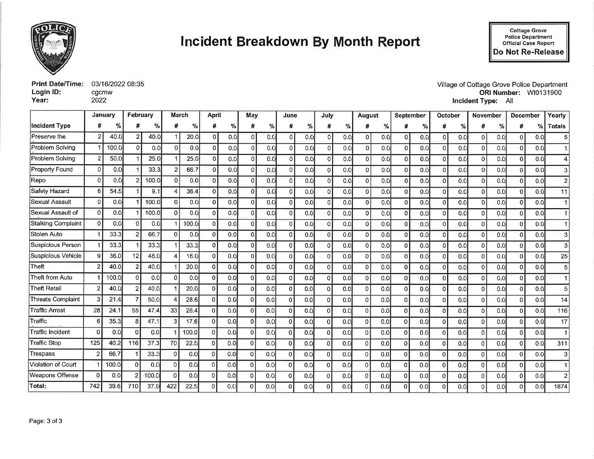

# **Incident Breakdown By Month Report**

Cottage Grove<br>Police Department<br>Official Case Report Do Not Re-Release

|           | <b>Print Date/Time:</b> 03/16/2022 08:35 |
|-----------|------------------------------------------|
| Login ID: | cgcmw                                    |
| Year:     | 2022                                     |

Village of Cottage Grove Police Department<br>ORI Number: WI0131900 Incident Type: All

|                           | January        |       | February |       | March        |       | <b>April</b>   |     | May      |     |                 | June |                | July          |          | August |                | September | October        |     | <b>November</b> |     | <b>December</b> |               | Yearly         |
|---------------------------|----------------|-------|----------|-------|--------------|-------|----------------|-----|----------|-----|-----------------|------|----------------|---------------|----------|--------|----------------|-----------|----------------|-----|-----------------|-----|-----------------|---------------|----------------|
| <b>Incident Type</b>      | #              | %     | #        | %     | #            | %     | #              | %   | #        | %   | #               | %    | #              | $\frac{9}{6}$ |          | ℅      |                | %         | #              | %   |                 | %   | #               | $\frac{0}{0}$ | <b>Totals</b>  |
| Preserve the              | $\overline{2}$ | 40.0  | 21       | 40.0  |              | 20.0  | 0              | 0.0 | ΟI       | 0.0 | $\overline{0}$  | 0.0  | $\mathbf{0}$   | 0.0           | ۵I       | 0.0    | 0              | 0.0       | 0              | 0.0 | Ωl              | 0.0 | 0               | 0.0           | 5              |
| Problem Solving           |                | 100.0 | $\Omega$ | 0.0   | οI           | 0.0   | 0              | 0.0 | ΩI       | 0.0 | $\Omega$        | 0,0  | $\overline{0}$ | 0.0           | ΩI       | 0.0    | $\Omega$       | 0.0       | $\mathbf 0$    | 0.0 | ΩI              | 0.0 | $\Omega$        | 0.0           |                |
| Problem Solving           |                | 50.0  |          | 25.0  |              | 25.0  | $\Omega$       | 0.0 | 01       | 0.0 | $\Omega$        | 0.0  | $\overline{0}$ | 0.0           | ٥I       | 0.0    | $\overline{0}$ | 0.0       | $\mathbf{0}$   | 0.0 | U               | 0.0 | 0               | 0.0           | 41             |
| <b>Property Found</b>     | $\Omega$       | 0.0   |          | 33.3  | 2            | 66.7  | $\Omega$       | 0.0 | ٥I       | 0.0 | $\vert 0 \vert$ | 0.0  | $\Omega$       | 0.0           | ΩI       | 0.0    | 0              | 0.0       | $\mathbf{0}$   | 0.0 |                 | 0.0 | $\vert$ 0       | 0.0           | 31             |
| Repo                      | $\Omega$       | 0.0   |          | 100.0 | ΩI           | 0.0   | O              | 0.0 | U        | 0.0 | $\Omega$        | 0.0  | $\Omega$       | 0.0           |          | 0.0    | $\Omega$       | 0.0       | $\Omega$       | 0.0 |                 | 0.0 | $\Omega$        | 0.0           | $\mathsf{2}$   |
| Safety Hazard             | 6              | 54.5  |          | 9.1   |              | 36.4  | 0              | 0.0 | n١       | 0.0 | $\Omega$        | 0.0  | 0              | 0.0           |          | 0.0    | $\overline{0}$ | 0.0       | $\overline{0}$ | 0.0 |                 | 0.0 | 0               | 0,0           | 11             |
| <b>Sexual Assault</b>     | $\Omega$       | 0.0   |          | 100.0 | ΩI           | 0.0   | $\Omega$       | 0.0 | n١       | 0.0 | 0               | 0.0  | O              | 0.0           |          | 0.0    | $\Omega$       | 0.0       | $\Omega$       | 0.0 |                 | 0.0 | $\Omega$        | 0.0           |                |
| Sexual Assault of         | $\Omega$       | 0.0   |          | 100.0 | ΩI           | 0.0   | $\overline{0}$ | 0.0 |          | 0.0 | 0               | 0.0  | $\Omega$       | 0.0           |          | 0.0    | $\Omega$       | 0.0       | $\Omega$       | 0.0 |                 | 0.0 | $\Omega$        | 0.0           |                |
| <b>Stalking Complaint</b> | $\mathbf 0$    | 0.0   | $\Omega$ | 0.0   |              | 100.0 | $\Omega$       | 0.0 | ΩI       | 0.0 | $\Omega$        | 0.0  | $\Omega$       | 0.0           | n١       | 0.0    | $\Omega$       | 0.0       | 0              | 0.0 | Ωl              | 0.0 | $\Omega$        | 0.0           |                |
| Stolen Auto               |                | 33.3  |          | 66.7  |              | 0.0   | 0              | 0.0 |          | 0,0 | $\Omega$        | 0.0  | 0              | 0.0           |          | 0.0    | $\Omega$       | 0.0       | $\Omega$       | 0.0 |                 | 0.0 | $\overline{0}$  | 0.0           | 3              |
| <b>Suspicious Person</b>  |                | 33.3  |          | 33.3  |              | 33.3  | $\Omega$       | 0.0 |          | 0.0 | $\Omega$        | 0.0  | $\Omega$       | 0.0           |          | 0.0    | $\Omega$       | 0.0       | $\overline{0}$ | 0.0 |                 | 0.0 | 0               | 0.0           | 3              |
| Suspicious Vehicle        | g              | 36.0  | 12       | 48.0  |              | 16.0  | $\Omega$       | 0.0 |          | 0.0 | $\overline{0}$  | 0.0  | $\mathbf 0$    | 0.0           |          | 0.0    | οI             | 0.0       | $\Omega$       | 0.0 |                 | 0.0 | $\Omega$        | 0.0           | 25             |
| Theft                     |                | 40.0  |          | 40.0  |              | 20.0  | $\Omega$       | 0.0 |          | 0.0 | $\overline{0}$  | 0.0  | $\Omega$       | 0.0           |          | 0.0    | $\overline{0}$ | 0.0       | $\Omega$       | 0.0 |                 | 0.0 | $\Omega$        | 0.0           | 51             |
| Theft from Auto           |                | 100.0 | ΩI       | 0.0   | $\Omega$     | 0.0   | $\Omega$       | 0.0 |          | 0.0 | $\Omega$        | 0.0  | $\Omega$       | 0.0           |          | 0.0    | $\Omega$       | 0.0       | $\Omega$       | 0.0 |                 | 0.0 | $\Omega$        | 0.0           |                |
| <b>Theft Retail</b>       | 2              | 40.0  |          | 40.0  |              | 20.0  | $\Omega$       | 0.0 | $\Omega$ | 0.0 | $\Omega$        | 0.0  | $\Omega$       | 0.0           | Ωl       | 0.0    | οI             | 0.0       | $\Omega$       | 0.0 |                 | 0.0 | $\Omega$        | 0.0           | 51             |
| <b>Threats Complaint</b>  | 3              | 21.4  |          | 50.0  |              | 28.6  | $\Omega$       | 0.0 | $\Omega$ | 0.0 | $\Omega$        | 0.0  | $\Omega$       | 0.0           | $\Omega$ | 0.0    | οI             | 0.0       | $\Omega$       | 0.0 | 0               | 0.0 | $\Omega$        | 0.0           | 14             |
| <b>Traffic Arrest</b>     | 28             | 24.   | 55       | 47.4  | 33           | 28.4  | 0              | 0.0 |          | 0.0 | $\Omega$        | 0.0  | $\Omega$       | 0.0           |          | 0.0    | $\Omega$       | 0.0       | $\Omega$       | 0.0 |                 | 0.0 | $\Omega$        | 0.0           | 116            |
| Traffic                   | 6              | 35.3  |          | 47.1  | $\mathbf{3}$ | 17.6  | $\mathbf{0}$   | 0.0 |          | 0.0 | $\Omega$        | 0.0  | $\overline{0}$ | 0.0           | n        | 0.0    | $\Omega$       | 0.0       | $\Omega$       | 0.0 |                 | 0.0 | $\Omega$        | 0.0           | 17             |
| Traffic Incident          | $\Omega$       | 0.0   |          | 0.0   |              | 100.0 | $\Omega$       | 0.0 |          | 0.0 | $\Omega$        | 0.0  | ΩI             | 0.0           |          | 0.0    | $\Omega$       | 0.0       | $\Omega$       | 0.0 |                 | 0.0 | Ωl              | 0.0           |                |
| <b>Traffic Stop</b>       | 125            | 40.2  | 116      | 37.3  | 70           | 22.5  | $\Omega$       | 0.0 |          | 0.0 | $\mathbf{0}$    | 0.0  | Οl             | 0.0           |          | 0.0    | $\Omega$       | 0.0       | <sup>0</sup>   | 0.0 |                 | 0.0 | $\Omega$        | 0.0           | 311            |
| Trespass                  | $\overline{2}$ | 66.7  |          | 33.3  | $\Omega$     | 0.0   | $\Omega$       | 0.0 |          | 0.0 | $\Omega$        | 0.0  | $\Omega$       | 0.0           | Ð        | 0.0    | n              | 0.0       | $\Omega$       | 0.0 |                 | 0.0 | $\Omega$        | 0.0           | 31             |
| Violation of Court        |                | 100.0 | $\Omega$ | 0.0   | οI           | 0.0   | $\Omega$       | 0.0 | ΩI       | 0.0 | 0               | 0.0  | $\Omega$       | 0.0           | $\Omega$ | 0.0    | $\overline{0}$ | 0.0       | $\Omega$       | 0.0 |                 | 0.0 | $\Omega$        | 0.0           |                |
| Weapons Offense           | $\Omega$       | 0.0   |          | 100.0 | ΩI           | 0.0   | 0              | 0.0 |          | 0.0 | 0               | 0.0  | $\Omega$       | 0.0           | $\Omega$ | 0.0    | 0              | 0.0       | $\Omega$       | 0.0 |                 | 0.0 | $\Omega$        | 0.0           | $\overline{2}$ |
| Total:                    | 742            | 39.6  | 710      | 37.9  | 422          | 22.5  | 0              | 0.0 |          | 0.0 | $\Omega$        | 0.0  | $\Omega$       | 0.0           |          | 0.0    | 0              | 0.0       | 0              | 0.0 |                 | 0.0 | O               | 0.0           | 1874           |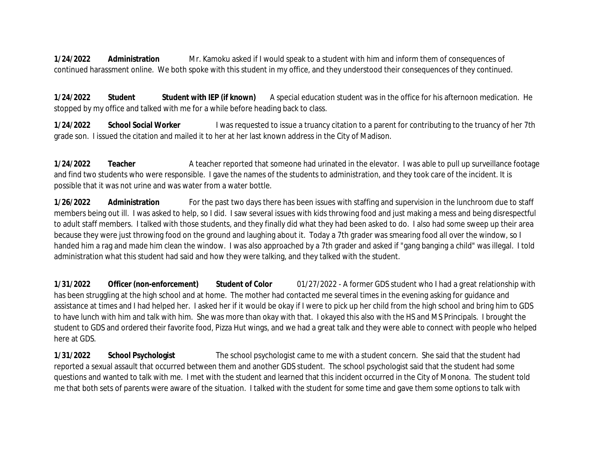**1/24/2022 Administration** Mr. Kamoku asked if I would speak to a student with him and inform them of consequences of continued harassment online. We both spoke with this student in my office, and they understood their consequences of they continued.

**1/24/2022 Student Student with IEP (if known)** A special education student was in the office for his afternoon medication. He stopped by my office and talked with me for a while before heading back to class.

**1/24/2022 School Social Worker** I was requested to issue a truancy citation to a parent for contributing to the truancy of her 7th grade son. I issued the citation and mailed it to her at her last known address in the City of Madison.

**1/24/2022 Teacher** A teacher reported that someone had urinated in the elevator. I was able to pull up surveillance footage and find two students who were responsible. I gave the names of the students to administration, and they took care of the incident. It is possible that it was not urine and was water from a water bottle.

**1/26/2022 Administration** For the past two days there has been issues with staffing and supervision in the lunchroom due to staff members being out ill. I was asked to help, so I did. I saw several issues with kids throwing food and just making a mess and being disrespectful to adult staff members. I talked with those students, and they finally did what they had been asked to do. I also had some sweep up their area because they were just throwing food on the ground and laughing about it. Today a 7th grader was smearing food all over the window, so I handed him a rag and made him clean the window. I was also approached by a 7th grader and asked if "gang banging a child" was illegal. I told administration what this student had said and how they were talking, and they talked with the student.

**1/31/2022 Officer (non-enforcement) Student of Color** 01/27/2022 - A former GDS student who I had a great relationship with has been struggling at the high school and at home. The mother had contacted me several times in the evening asking for guidance and assistance at times and I had helped her. I asked her if it would be okay if I were to pick up her child from the high school and bring him to GDS to have lunch with him and talk with him. She was more than okay with that. I okayed this also with the HS and MS Principals. I brought the student to GDS and ordered their favorite food, Pizza Hut wings, and we had a great talk and they were able to connect with people who helped here at GDS.

**1/31/2022 School Psychologist** The school psychologist came to me with a student concern. She said that the student had reported a sexual assault that occurred between them and another GDS student. The school psychologist said that the student had some questions and wanted to talk with me. I met with the student and learned that this incident occurred in the City of Monona. The student told me that both sets of parents were aware of the situation. I talked with the student for some time and gave them some options to talk with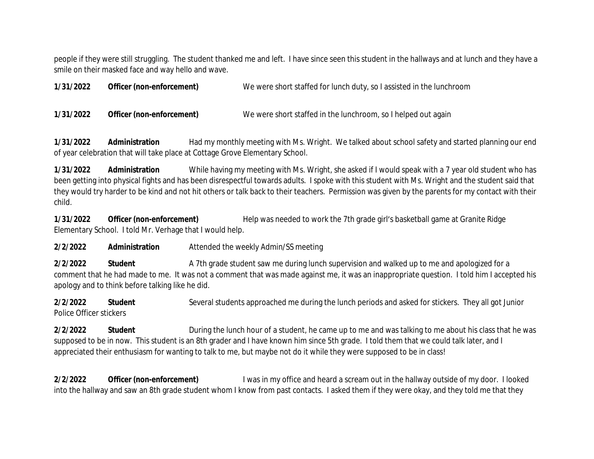people if they were still struggling. The student thanked me and left. I have since seen this student in the hallways and at lunch and they have a smile on their masked face and way hello and wave.

| 1/31/2022 | Officer (non-enforcement) | We were short staffed for lunch duty, so I assisted in the lunchroom |
|-----------|---------------------------|----------------------------------------------------------------------|
| 1/31/2022 | Officer (non-enforcement) | We were short staffed in the lunchroom, so I helped out again        |

**1/31/2022 Administration** Had my monthly meeting with Ms. Wright. We talked about school safety and started planning our end of year celebration that will take place at Cottage Grove Elementary School.

**1/31/2022 Administration** While having my meeting with Ms. Wright, she asked if I would speak with a 7 year old student who has been getting into physical fights and has been disrespectful towards adults. I spoke with this student with Ms. Wright and the student said that they would try harder to be kind and not hit others or talk back to their teachers. Permission was given by the parents for my contact with their child.

**1/31/2022 Officer (non-enforcement)** Help was needed to work the 7th grade girl's basketball game at Granite Ridge Elementary School. I told Mr. Verhage that I would help.

**2/2/2022 Administration** Attended the weekly Admin/SS meeting

**2/2/2022 Student** A 7th grade student saw me during lunch supervision and walked up to me and apologized for a comment that he had made to me. It was not a comment that was made against me, it was an inappropriate question. I told him I accepted his apology and to think before talking like he did.

**2/2/2022 Student** Several students approached me during the lunch periods and asked for stickers. They all got Junior Police Officer stickers

**2/2/2022 Student** During the lunch hour of a student, he came up to me and was talking to me about his class that he was supposed to be in now. This student is an 8th grader and I have known him since 5th grade. I told them that we could talk later, and I appreciated their enthusiasm for wanting to talk to me, but maybe not do it while they were supposed to be in class!

**2/2/2022 Officer (non-enforcement)** I was in my office and heard a scream out in the hallway outside of my door. I looked into the hallway and saw an 8th grade student whom I know from past contacts. I asked them if they were okay, and they told me that they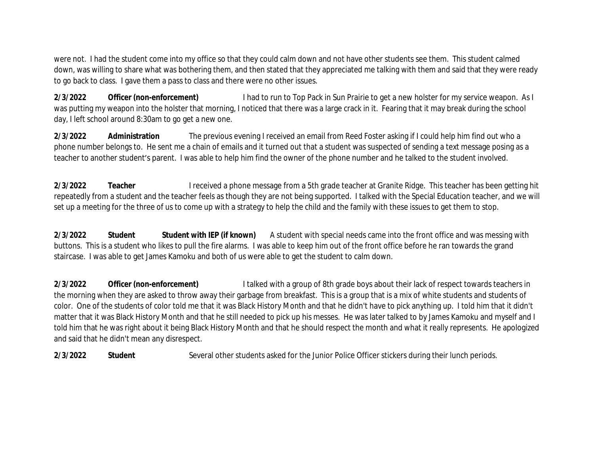were not. I had the student come into my office so that they could calm down and not have other students see them. This student calmed down, was willing to share what was bothering them, and then stated that they appreciated me talking with them and said that they were ready to go back to class. I gave them a pass to class and there were no other issues.

**2/3/2022 Officer (non-enforcement)** I had to run to Top Pack in Sun Prairie to get a new holster for my service weapon. As I was putting my weapon into the holster that morning, I noticed that there was a large crack in it. Fearing that it may break during the school day, I left school around 8:30am to go get a new one.

**2/3/2022 Administration** The previous evening I received an email from Reed Foster asking if I could help him find out who a phone number belongs to. He sent me a chain of emails and it turned out that a student was suspected of sending a text message posing as a teacher to another student's parent. I was able to help him find the owner of the phone number and he talked to the student involved.

**2/3/2022 Teacher** I received a phone message from a 5th grade teacher at Granite Ridge. This teacher has been getting hit repeatedly from a student and the teacher feels as though they are not being supported. I talked with the Special Education teacher, and we will set up a meeting for the three of us to come up with a strategy to help the child and the family with these issues to get them to stop.

**2/3/2022 Student Student with IEP (if known)** A student with special needs came into the front office and was messing with buttons. This is a student who likes to pull the fire alarms. I was able to keep him out of the front office before he ran towards the grand staircase. I was able to get James Kamoku and both of us were able to get the student to calm down.

**2/3/2022 Officer (non-enforcement)** I talked with a group of 8th grade boys about their lack of respect towards teachers in the morning when they are asked to throw away their garbage from breakfast. This is a group that is a mix of white students and students of color. One of the students of color told me that it was Black History Month and that he didn't have to pick anything up. I told him that it didn't matter that it was Black History Month and that he still needed to pick up his messes. He was later talked to by James Kamoku and myself and I told him that he was right about it being Black History Month and that he should respect the month and what it really represents. He apologized and said that he didn't mean any disrespect.

**2/3/2022 Student** Several other students asked for the Junior Police Officer stickers during their lunch periods.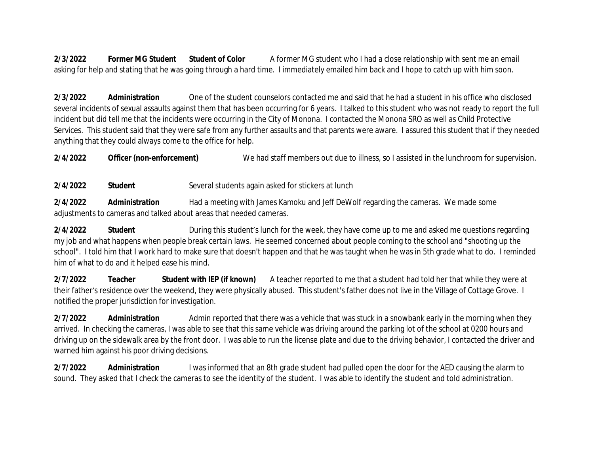**2/3/2022 Former MG Student Student of Color** A former MG student who I had a close relationship with sent me an email asking for help and stating that he was going through a hard time. I immediately emailed him back and I hope to catch up with him soon.

**2/3/2022 Administration** One of the student counselors contacted me and said that he had a student in his office who disclosed several incidents of sexual assaults against them that has been occurring for 6 years. I talked to this student who was not ready to report the full incident but did tell me that the incidents were occurring in the City of Monona. I contacted the Monona SRO as well as Child Protective Services. This student said that they were safe from any further assaults and that parents were aware. I assured this student that if they needed anything that they could always come to the office for help.

**2/4/2022 Officer (non-enforcement)** We had staff members out due to illness, so I assisted in the lunchroom for supervision.

**2/4/2022 Student** Several students again asked for stickers at lunch

**2/4/2022 Administration** Had a meeting with James Kamoku and Jeff DeWolf regarding the cameras. We made some adjustments to cameras and talked about areas that needed cameras.

**2/4/2022 Student** During this student's lunch for the week, they have come up to me and asked me questions regarding my job and what happens when people break certain laws. He seemed concerned about people coming to the school and "shooting up the school". I told him that I work hard to make sure that doesn't happen and that he was taught when he was in 5th grade what to do. I reminded him of what to do and it helped ease his mind.

**2/7/2022 Teacher Student with IEP (if known)** A teacher reported to me that a student had told her that while they were at their father's residence over the weekend, they were physically abused. This student's father does not live in the Village of Cottage Grove. I notified the proper jurisdiction for investigation.

**2/7/2022 Administration** Admin reported that there was a vehicle that was stuck in a snowbank early in the morning when they arrived. In checking the cameras, I was able to see that this same vehicle was driving around the parking lot of the school at 0200 hours and driving up on the sidewalk area by the front door. I was able to run the license plate and due to the driving behavior, I contacted the driver and warned him against his poor driving decisions.

**2/7/2022 Administration** I was informed that an 8th grade student had pulled open the door for the AED causing the alarm to sound. They asked that I check the cameras to see the identity of the student. I was able to identify the student and told administration.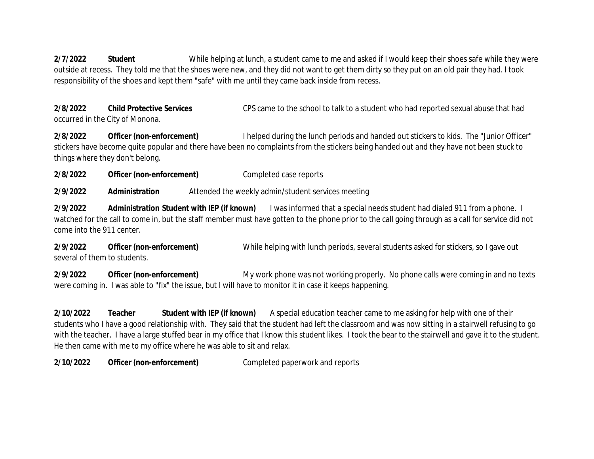**2/7/2022 Student** While helping at lunch, a student came to me and asked if I would keep their shoes safe while they were outside at recess. They told me that the shoes were new, and they did not want to get them dirty so they put on an old pair they had. I took responsibility of the shoes and kept them "safe" with me until they came back inside from recess.

**2/8/2022 Child Protective Services** CPS came to the school to talk to a student who had reported sexual abuse that had occurred in the City of Monona.

**2/8/2022 Officer (non-enforcement)** I helped during the lunch periods and handed out stickers to kids. The "Junior Officer" stickers have become quite popular and there have been no complaints from the stickers being handed out and they have not been stuck to things where they don't belong.

**2/8/2022 Officer (non-enforcement)** Completed case reports

**2/9/2022 Administration** Attended the weekly admin/student services meeting

**2/9/2022 Administration Student with IEP (if known)** I was informed that a special needs student had dialed 911 from a phone. I watched for the call to come in, but the staff member must have gotten to the phone prior to the call going through as a call for service did not come into the 911 center.

**2/9/2022 Officer (non-enforcement)** While helping with lunch periods, several students asked for stickers, so I gave out several of them to students.

**2/9/2022 Officer (non-enforcement)** My work phone was not working properly. No phone calls were coming in and no texts were coming in. I was able to "fix" the issue, but I will have to monitor it in case it keeps happening.

**2/10/2022 Teacher Student with IEP (if known)** A special education teacher came to me asking for help with one of their students who I have a good relationship with. They said that the student had left the classroom and was now sitting in a stairwell refusing to go with the teacher. I have a large stuffed bear in my office that I know this student likes. I took the bear to the stairwell and gave it to the student. He then came with me to my office where he was able to sit and relax.

**2/10/2022 Officer (non-enforcement)** Completed paperwork and reports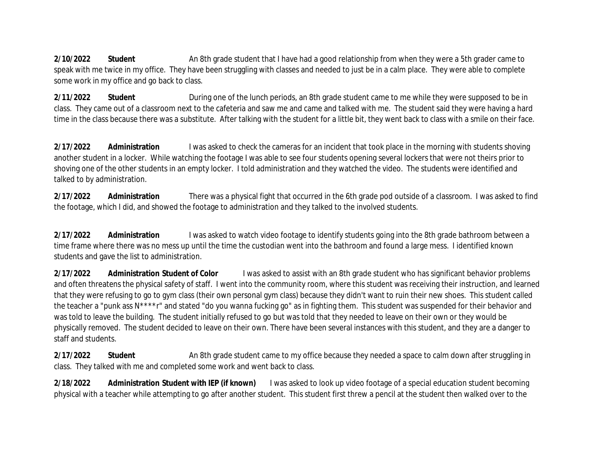2/10/2022 Student **An 8th grade student that I have had a good relationship from when they were a 5th grader came to** speak with me twice in my office. They have been struggling with classes and needed to just be in a calm place. They were able to complete some work in my office and go back to class.

**2/11/2022 Student** During one of the lunch periods, an 8th grade student came to me while they were supposed to be in class. They came out of a classroom next to the cafeteria and saw me and came and talked with me. The student said they were having a hard time in the class because there was a substitute. After talking with the student for a little bit, they went back to class with a smile on their face.

**2/17/2022 Administration** I was asked to check the cameras for an incident that took place in the morning with students shoving another student in a locker. While watching the footage I was able to see four students opening several lockers that were not theirs prior to shoving one of the other students in an empty locker. I told administration and they watched the video. The students were identified and talked to by administration.

**2/17/2022 Administration** There was a physical fight that occurred in the 6th grade pod outside of a classroom. I was asked to find the footage, which I did, and showed the footage to administration and they talked to the involved students.

**2/17/2022 Administration** I was asked to watch video footage to identify students going into the 8th grade bathroom between a time frame where there was no mess up until the time the custodian went into the bathroom and found a large mess. I identified known students and gave the list to administration.

**2/17/2022 Administration Student of Color** I was asked to assist with an 8th grade student who has significant behavior problems and often threatens the physical safety of staff. I went into the community room, where this student was receiving their instruction, and learned that they were refusing to go to gym class (their own personal gym class) because they didn't want to ruin their new shoes. This student called the teacher a "punk ass N\*\*\*\*r" and stated "do you wanna fucking go" as in fighting them. This student was suspended for their behavior and was told to leave the building. The student initially refused to go but was told that they needed to leave on their own or they would be physically removed. The student decided to leave on their own. There have been several instances with this student, and they are a danger to staff and students.

**2/17/2022** Student **An 8th grade student came to my office because they needed a space to calm down after struggling in** class. They talked with me and completed some work and went back to class.

**2/18/2022 Administration Student with IEP (if known)** I was asked to look up video footage of a special education student becoming physical with a teacher while attempting to go after another student. This student first threw a pencil at the student then walked over to the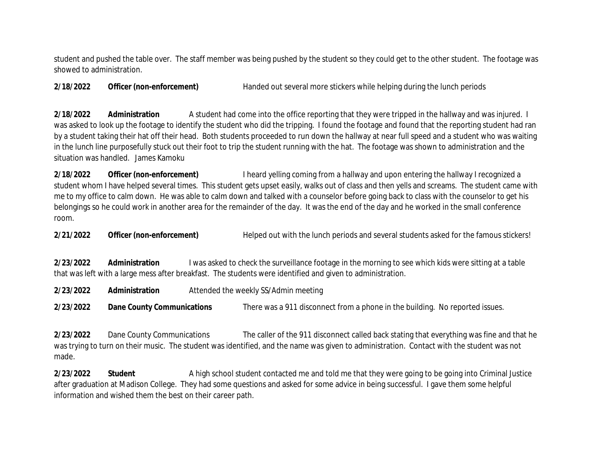student and pushed the table over. The staff member was being pushed by the student so they could get to the other student. The footage was showed to administration.

**2/18/2022 Officer (non-enforcement)** Handed out several more stickers while helping during the lunch periods

**2/18/2022 Administration** A student had come into the office reporting that they were tripped in the hallway and was injured. I was asked to look up the footage to identify the student who did the tripping. I found the footage and found that the reporting student had ran by a student taking their hat off their head. Both students proceeded to run down the hallway at near full speed and a student who was waiting in the lunch line purposefully stuck out their foot to trip the student running with the hat. The footage was shown to administration and the situation was handled. James Kamoku

**2/18/2022 Officer (non-enforcement)** I heard yelling coming from a hallway and upon entering the hallway I recognized a student whom I have helped several times. This student gets upset easily, walks out of class and then yells and screams. The student came with me to my office to calm down. He was able to calm down and talked with a counselor before going back to class with the counselor to get his belongings so he could work in another area for the remainder of the day. It was the end of the day and he worked in the small conference room.

**2/21/2022 Officer (non-enforcement)** Helped out with the lunch periods and several students asked for the famous stickers!

**2/23/2022 Administration** I was asked to check the surveillance footage in the morning to see which kids were sitting at a table that was left with a large mess after breakfast. The students were identified and given to administration.

**2/23/2022 Administration** Attended the weekly SS/Admin meeting

**2/23/2022 Dane County Communications** There was a 911 disconnect from a phone in the building. No reported issues.

**2/23/2022** Dane County Communications The caller of the 911 disconnect called back stating that everything was fine and that he was trying to turn on their music. The student was identified, and the name was given to administration. Contact with the student was not made.

**2/23/2022** Student **A** high school student contacted me and told me that they were going to be going into Criminal Justice after graduation at Madison College. They had some questions and asked for some advice in being successful. I gave them some helpful information and wished them the best on their career path.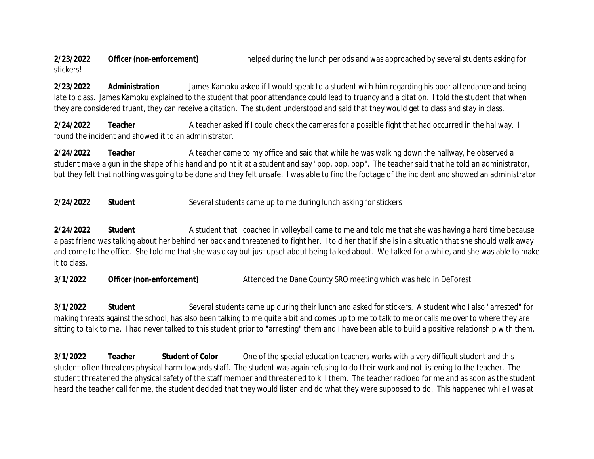**2/23/2022 Officer (non-enforcement)** I helped during the lunch periods and was approached by several students asking for stickers!

**2/23/2022 Administration** James Kamoku asked if I would speak to a student with him regarding his poor attendance and being late to class. James Kamoku explained to the student that poor attendance could lead to truancy and a citation. I told the student that when they are considered truant, they can receive a citation. The student understood and said that they would get to class and stay in class.

**2/24/2022 Teacher** A teacher asked if I could check the cameras for a possible fight that had occurred in the hallway. I found the incident and showed it to an administrator.

**2/24/2022 Teacher** A teacher came to my office and said that while he was walking down the hallway, he observed a student make a gun in the shape of his hand and point it at a student and say "pop, pop, pop". The teacher said that he told an administrator, but they felt that nothing was going to be done and they felt unsafe. I was able to find the footage of the incident and showed an administrator.

**2/24/2022 Student** Several students came up to me during lunch asking for stickers

2/24/2022 Student **A** student that I coached in volleyball came to me and told me that she was having a hard time because a past friend was talking about her behind her back and threatened to fight her. I told her that if she is in a situation that she should walk away and come to the office. She told me that she was okay but just upset about being talked about. We talked for a while, and she was able to make it to class.

**3/1/2022** Officer (non-enforcement) Attended the Dane County SRO meeting which was held in DeForest

**3/1/2022 Student** Several students came up during their lunch and asked for stickers. A student who I also "arrested" for making threats against the school, has also been talking to me quite a bit and comes up to me to talk to me or calls me over to where they are sitting to talk to me. I had never talked to this student prior to "arresting" them and I have been able to build a positive relationship with them.

**3/1/2022 Teacher Student of Color** One of the special education teachers works with a very difficult student and this student often threatens physical harm towards staff. The student was again refusing to do their work and not listening to the teacher. The student threatened the physical safety of the staff member and threatened to kill them. The teacher radioed for me and as soon as the student heard the teacher call for me, the student decided that they would listen and do what they were supposed to do. This happened while I was at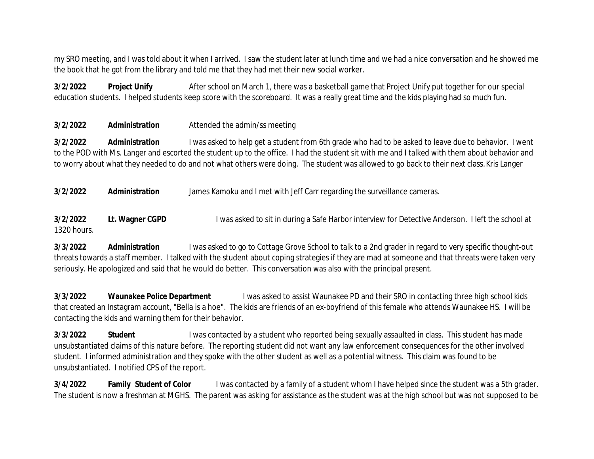my SRO meeting, and I was told about it when I arrived. I saw the student later at lunch time and we had a nice conversation and he showed me the book that he got from the library and told me that they had met their new social worker.

**3/2/2022** Project Unify **After school on March 1, there was a basketball game that Project Unify put together for our special** education students. I helped students keep score with the scoreboard. It was a really great time and the kids playing had so much fun.

**3/2/2022 Administration** Attended the admin/ss meeting

**3/2/2022 Administration** I was asked to help get a student from 6th grade who had to be asked to leave due to behavior. I went to the POD with Ms. Langer and escorted the student up to the office. I had the student sit with me and I talked with them about behavior and to worry about what they needed to do and not what others were doing. The student was allowed to go back to their next class. Kris Langer

**3/2/2022 Administration** James Kamoku and I met with Jeff Carr regarding the surveillance cameras.

**3/2/2022** Lt. Wagner CGPD I was asked to sit in during a Safe Harbor interview for Detective Anderson. I left the school at 1320 hours.

**3/3/2022 Administration** I was asked to go to Cottage Grove School to talk to a 2nd grader in regard to very specific thought-out threats towards a staff member. I talked with the student about coping strategies if they are mad at someone and that threats were taken very seriously. He apologized and said that he would do better. This conversation was also with the principal present.

**3/3/2022 Waunakee Police Department** I was asked to assist Waunakee PD and their SRO in contacting three high school kids that created an Instagram account, "Bella is a hoe". The kids are friends of an ex-boyfriend of this female who attends Waunakee HS. I will be contacting the kids and warning them for their behavior.

**3/3/2022** Student I was contacted by a student who reported being sexually assaulted in class. This student has made unsubstantiated claims of this nature before. The reporting student did not want any law enforcement consequences for the other involved student. I informed administration and they spoke with the other student as well as a potential witness. This claim was found to be unsubstantiated. I notified CPS of the report.

**3/4/2022 Family Student of Color** I was contacted by a family of a student whom I have helped since the student was a 5th grader. The student is now a freshman at MGHS. The parent was asking for assistance as the student was at the high school but was not supposed to be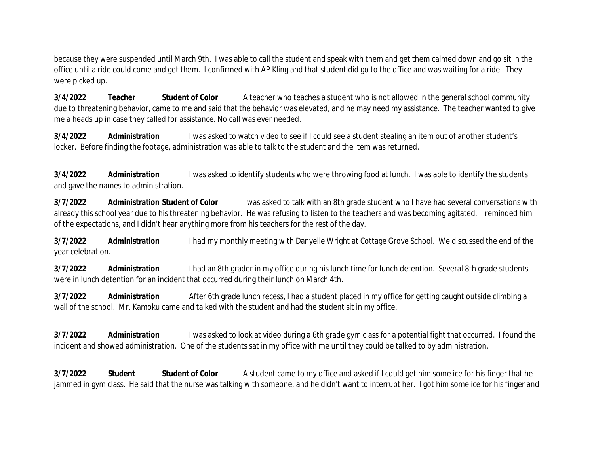because they were suspended until March 9th. I was able to call the student and speak with them and get them calmed down and go sit in the office until a ride could come and get them. I confirmed with AP Kling and that student did go to the office and was waiting for a ride. They were picked up.

**3/4/2022 Teacher Student of Color** A teacher who teaches a student who is not allowed in the general school community due to threatening behavior, came to me and said that the behavior was elevated, and he may need my assistance. The teacher wanted to give me a heads up in case they called for assistance. No call was ever needed.

**3/4/2022 Administration** I was asked to watch video to see if I could see a student stealing an item out of another student's locker. Before finding the footage, administration was able to talk to the student and the item was returned.

**3/4/2022 Administration** I was asked to identify students who were throwing food at lunch. I was able to identify the students and gave the names to administration.

**3/7/2022 Administration Student of Color** I was asked to talk with an 8th grade student who I have had several conversations with already this school year due to his threatening behavior. He was refusing to listen to the teachers and was becoming agitated. I reminded him of the expectations, and I didn't hear anything more from his teachers for the rest of the day.

**3/7/2022 Administration** I had my monthly meeting with Danyelle Wright at Cottage Grove School. We discussed the end of the year celebration.

**3/7/2022 Administration** I had an 8th grader in my office during his lunch time for lunch detention. Several 8th grade students were in lunch detention for an incident that occurred during their lunch on March 4th.

**3/7/2022 Administration** After 6th grade lunch recess, I had a student placed in my office for getting caught outside climbing a wall of the school. Mr. Kamoku came and talked with the student and had the student sit in my office.

**3/7/2022 Administration** I was asked to look at video during a 6th grade gym class for a potential fight that occurred. I found the incident and showed administration. One of the students sat in my office with me until they could be talked to by administration.

**3/7/2022 Student Student of Color** A student came to my office and asked if I could get him some ice for his finger that he jammed in gym class. He said that the nurse was talking with someone, and he didn't want to interrupt her. I got him some ice for his finger and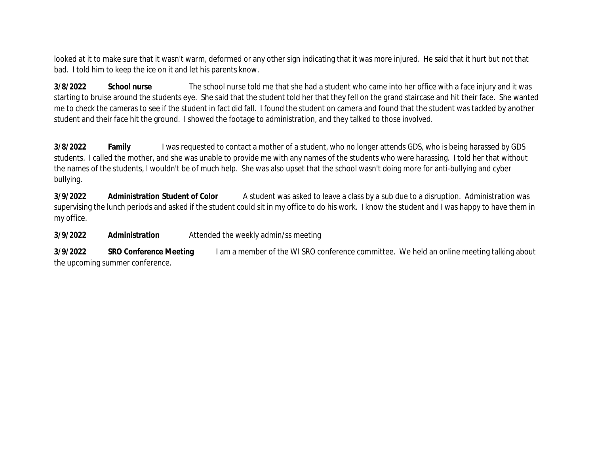looked at it to make sure that it wasn't warm, deformed or any other sign indicating that it was more injured. He said that it hurt but not that bad. I told him to keep the ice on it and let his parents know.

**3/8/2022 School nurse** The school nurse told me that she had a student who came into her office with a face injury and it was starting to bruise around the students eye. She said that the student told her that they fell on the grand staircase and hit their face. She wanted me to check the cameras to see if the student in fact did fall. I found the student on camera and found that the student was tackled by another student and their face hit the ground. I showed the footage to administration, and they talked to those involved.

**3/8/2022** Family I was requested to contact a mother of a student, who no longer attends GDS, who is being harassed by GDS students. I called the mother, and she was unable to provide me with any names of the students who were harassing. I told her that without the names of the students, I wouldn't be of much help. She was also upset that the school wasn't doing more for anti-bullying and cyber bullying.

**3/9/2022 Administration Student of Color** A student was asked to leave a class by a sub due to a disruption. Administration was supervising the lunch periods and asked if the student could sit in my office to do his work. I know the student and I was happy to have them in my office.

**3/9/2022 Administration** Attended the weekly admin/ss meeting

**3/9/2022** SRO Conference Meeting I am a member of the WI SRO conference committee. We held an online meeting talking about the upcoming summer conference.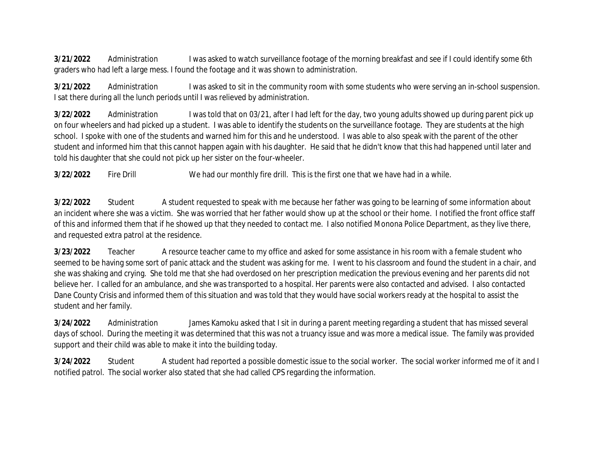**3/21/2022** Administration I was asked to watch surveillance footage of the morning breakfast and see if I could identify some 6th graders who had left a large mess. I found the footage and it was shown to administration.

**3/21/2022** Administration I was asked to sit in the community room with some students who were serving an in-school suspension. I sat there during all the lunch periods until I was relieved by administration.

**3/22/2022** Administration I was told that on 03/21, after I had left for the day, two young adults showed up during parent pick up on four wheelers and had picked up a student. I was able to identify the students on the surveillance footage. They are students at the high school. I spoke with one of the students and warned him for this and he understood. I was able to also speak with the parent of the other student and informed him that this cannot happen again with his daughter. He said that he didn't know that this had happened until later and told his daughter that she could not pick up her sister on the four-wheeler.

**3/22/2022** Fire Drill We had our monthly fire drill. This is the first one that we have had in a while.

**3/22/2022** Student A student requested to speak with me because her father was going to be learning of some information about an incident where she was a victim. She was worried that her father would show up at the school or their home. I notified the front office staff of this and informed them that if he showed up that they needed to contact me. I also notified Monona Police Department, as they live there, and requested extra patrol at the residence.

**3/23/2022** Teacher A resource teacher came to my office and asked for some assistance in his room with a female student who seemed to be having some sort of panic attack and the student was asking for me. I went to his classroom and found the student in a chair, and she was shaking and crying. She told me that she had overdosed on her prescription medication the previous evening and her parents did not believe her. I called for an ambulance, and she was transported to a hospital. Her parents were also contacted and advised. I also contacted Dane County Crisis and informed them of this situation and was told that they would have social workers ready at the hospital to assist the student and her family.

**3/24/2022** Administration James Kamoku asked that I sit in during a parent meeting regarding a student that has missed several days of school. During the meeting it was determined that this was not a truancy issue and was more a medical issue. The family was provided support and their child was able to make it into the building today.

**3/24/2022** Student A student had reported a possible domestic issue to the social worker. The social worker informed me of it and I notified patrol. The social worker also stated that she had called CPS regarding the information.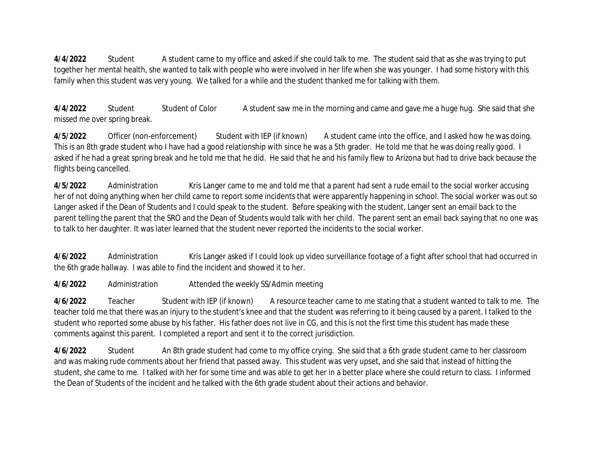**4/4/2022** Student A student came to my office and asked if she could talk to me. The student said that as she was trying to put together her mental health, she wanted to talk with people who were involved in her life when she was younger. I had some history with this family when this student was very young. We talked for a while and the student thanked me for talking with them.

**4/4/2022** Student Student of Color A student saw me in the morning and came and gave me a huge hug. She said that she missed me over spring break.

**4/5/2022** Officer (non-enforcement) Student with IEP (if known) A student came into the office, and I asked how he was doing. This is an 8th grade student who I have had a good relationship with since he was a 5th grader. He told me that he was doing really good. I asked if he had a great spring break and he told me that he did. He said that he and his family flew to Arizona but had to drive back because the flights being cancelled.

**4/5/2022** Administration Kris Langer came to me and told me that a parent had sent a rude email to the social worker accusing her of not doing anything when her child came to report some incidents that were apparently happening in school. The social worker was out so Langer asked if the Dean of Students and I could speak to the student. Before speaking with the student, Langer sent an email back to the parent telling the parent that the SRO and the Dean of Students would talk with her child. The parent sent an email back saying that no one was to talk to her daughter. It was later learned that the student never reported the incidents to the social worker.

**4/6/2022** Administration Kris Langer asked if I could look up video surveillance footage of a fight after school that had occurred in the 6th grade hallway. I was able to find the incident and showed it to her.

**4/6/2022** Administration Attended the weekly SS/Admin meeting

**4/6/2022** Teacher Student with IEP (if known) A resource teacher came to me stating that a student wanted to talk to me. The teacher told me that there was an injury to the student's knee and that the student was referring to it being caused by a parent. I talked to the student who reported some abuse by his father. His father does not live in CG, and this is not the first time this student has made these comments against this parent. I completed a report and sent it to the correct jurisdiction.

**4/6/2022** Student An 8th grade student had come to my office crying. She said that a 6th grade student came to her classroom and was making rude comments about her friend that passed away. This student was very upset, and she said that instead of hitting the student, she came to me. I talked with her for some time and was able to get her in a better place where she could return to class. I informed the Dean of Students of the incident and he talked with the 6th grade student about their actions and behavior.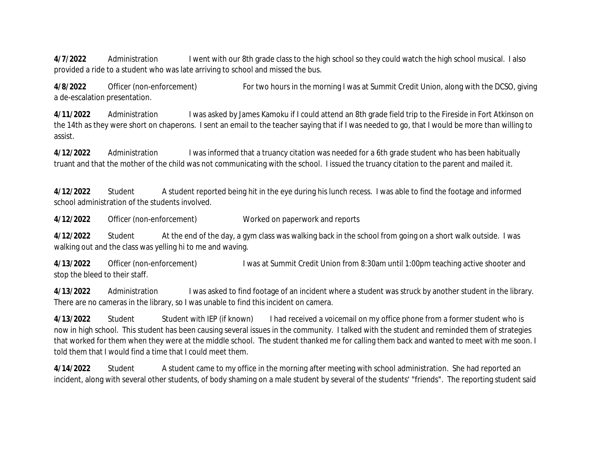**4/7/2022** Administration I went with our 8th grade class to the high school so they could watch the high school musical. I also provided a ride to a student who was late arriving to school and missed the bus.

**4/8/2022** Officer (non-enforcement) For two hours in the morning I was at Summit Credit Union, along with the DCSO, giving a de-escalation presentation.

**4/11/2022** Administration I was asked by James Kamoku if I could attend an 8th grade field trip to the Fireside in Fort Atkinson on the 14th as they were short on chaperons. I sent an email to the teacher saying that if I was needed to go, that I would be more than willing to assist.

**4/12/2022** Administration I was informed that a truancy citation was needed for a 6th grade student who has been habitually truant and that the mother of the child was not communicating with the school. I issued the truancy citation to the parent and mailed it.

**4/12/2022** Student A student reported being hit in the eye during his lunch recess. I was able to find the footage and informed school administration of the students involved.

**4/12/2022** Officer (non-enforcement) Worked on paperwork and reports

**4/12/2022** Student At the end of the day, a gym class was walking back in the school from going on a short walk outside. I was walking out and the class was yelling hi to me and waving.

**4/13/2022** Officer (non-enforcement) I was at Summit Credit Union from 8:30am until 1:00pm teaching active shooter and stop the bleed to their staff.

**4/13/2022** Administration I was asked to find footage of an incident where a student was struck by another student in the library. There are no cameras in the library, so I was unable to find this incident on camera.

**4/13/2022** Student Student with IEP (if known) I had received a voicemail on my office phone from a former student who is now in high school. This student has been causing several issues in the community. I talked with the student and reminded them of strategies that worked for them when they were at the middle school. The student thanked me for calling them back and wanted to meet with me soon. I told them that I would find a time that I could meet them.

**4/14/2022** Student A student came to my office in the morning after meeting with school administration. She had reported an incident, along with several other students, of body shaming on a male student by several of the students' "friends". The reporting student said